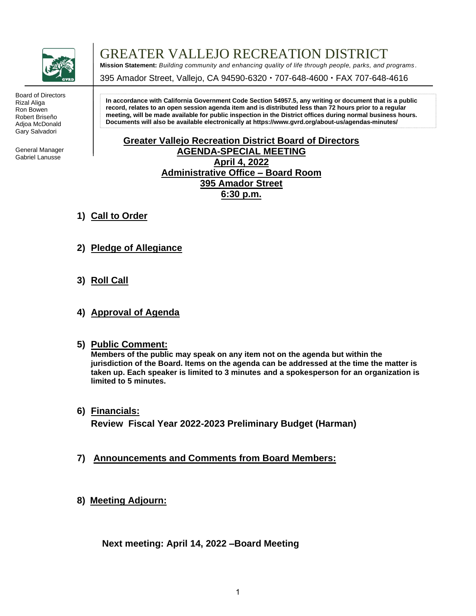

Board of Directors Rizal Aliga Ron Bowen Robert Briseño Adjoa McDonald Gary Salvadori

General Manager Gabriel Lanusse

GREATER VALLEJO RECREATION DISTRICT

**Mission Statement:** *Building community and enhancing quality of life through people, parks, and programs .*

395 Amador Street, Vallejo, CA 94590-6320 · 707-648-4600 · FAX 707-648-4616

**In accordance with California Government Code Section 54957.5, any writing or document that is a public record, relates to an open session agenda item and is distributed less than 72 hours prior to a regular meeting, will be made available for public inspection in the District offices during normal business hours. Documents will also be available electronically a[t https://www.gvrd.org/about-us/agendas-minutes/](https://www.gvrd.org/about-us/agendas-minutes/)**

### **Greater Vallejo Recreation District Board of Directors AGENDA-SPECIAL MEETING April 4, 2022 Administrative Office – Board Room 395 Amador Street 6:30 p.m.**

- **1) Call to Order**
- **2) Pledge of Allegiance**
- **3) Roll Call**
- **4) Approval of Agenda**
- **5) Public Comment:**

**Members of the public may speak on any item not on the agenda but within the jurisdiction of the Board. Items on the agenda can be addressed at the time the matter is taken up. Each speaker is limited to 3 minutes and a spokesperson for an organization is limited to 5 minutes.**

- **6) Financials: Review Fiscal Year 2022-2023 Preliminary Budget (Harman)**
- **7) Announcements and Comments from Board Members:**
- **8) Meeting Adjourn:**

 **Next meeting: April 14, 2022 –Board Meeting**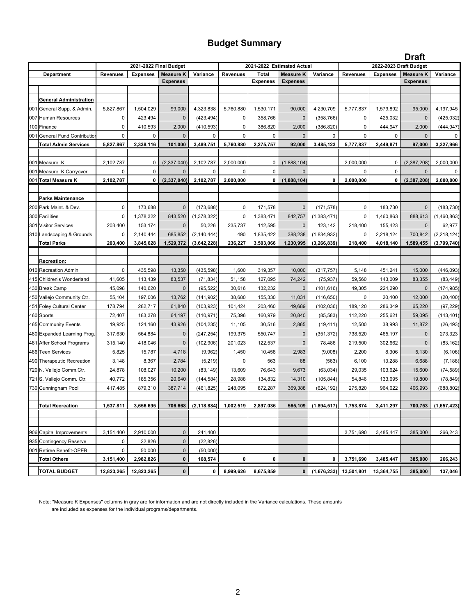### **Budget Summary**

|     |                                                 |                 |                        |                      |                              |                 |                        |                            |                              |                 |                        | <b>Draft</b>         |                              |
|-----|-------------------------------------------------|-----------------|------------------------|----------------------|------------------------------|-----------------|------------------------|----------------------------|------------------------------|-----------------|------------------------|----------------------|------------------------------|
|     |                                                 |                 | 2021-2022 Final Budget |                      |                              |                 |                        | 2021-2022 Estimated Actual |                              |                 | 2022-2023 Draft Budget |                      |                              |
|     | Department                                      | <b>Revenues</b> | <b>Expenses</b>        | <b>Measure K</b>     | Variance                     | <b>Revenues</b> | <b>Total</b>           | <b>Measure K</b>           | Variance                     | <b>Revenues</b> | <b>Expenses</b>        | <b>Measure K</b>     | Variance                     |
|     |                                                 |                 |                        | <b>Expenses</b>      |                              |                 | <b>Expenses</b>        | <b>Expenses</b>            |                              |                 |                        | <b>Expenses</b>      |                              |
|     |                                                 |                 |                        |                      |                              |                 |                        |                            |                              |                 |                        |                      |                              |
|     | <b>General Administration</b>                   |                 |                        |                      |                              |                 |                        |                            |                              |                 |                        |                      |                              |
|     | 001 General Supp. & Admin.                      | 5,827,867       | 1,504,029              | 99,000               | 4,323,838                    | 5,760,880       | 1,530,171              | 90,000                     | 4,230,709                    | 5,777,837       | 1,579,892              | 95,000               | 4,197,945                    |
|     | 007 Human Resources                             | 0               | 423,494                | $\mathbf 0$          | (423, 494)                   | 0               | 358,766                | $\mathbf{0}$               | (358, 766)                   | 0               | 425,032                | $\mathbf{0}$         | (425, 032)                   |
|     | 100 Finance                                     | $\mathbf 0$     | 410,593                | 2,000                | (410, 593)                   | 0               | 386,820                | 2,000                      | (386, 820)                   | 0               | 444,947                | 2,000                | (444,947                     |
|     | 001 General Fund Contribution                   | $\mathbf 0$     | 0                      | $\mathbf{0}$         | 0                            | $\mathbf 0$     | 0                      | $\mathbf{0}$               | 0                            | 0               | 0                      | 0                    |                              |
|     | <b>Total Admin Services</b>                     | 5,827,867       | 2,338,116              | 101,000              | 3,489,751                    | 5,760,880       | 2,275,757              | 92,000                     | 3,485,123                    | 5,777,837       | 2,449,871              | 97,000               | 3,327,966                    |
|     |                                                 |                 |                        |                      |                              |                 |                        |                            |                              |                 |                        |                      |                              |
|     | 001 Measure K                                   | 2,102,787       | $\mathbf 0$            | (2, 337, 040)        | 2,102,787                    | 2,000,000       | 0                      | (1,888,104)                |                              | 2,000,000       | 0                      | (2,387,208)          | 2,000,000                    |
|     | 001 Measure K Carryover                         | 0               | 0                      | $\mathbf{0}$         | 0                            | $\mathbf 0$     | $\Omega$               | $\Omega$                   |                              | $\Omega$        | 0                      | $\mathbf{0}$         |                              |
|     | 001 Total Measure K                             | 2,102,787       | 0                      | (2, 337, 040)        | 2,102,787                    | 2,000,000       | 0                      | (1,888,104)                | 0                            | 2,000,000       | 0                      | (2,387,208)          | 2,000,000                    |
|     |                                                 |                 |                        |                      |                              |                 |                        |                            |                              |                 |                        |                      |                              |
|     | <b>Parks Maintenance</b>                        | $\mathbf 0$     |                        | $\mathbf 0$          |                              |                 |                        |                            |                              | 0               |                        | $\mathbf{0}$         |                              |
|     | 200 Park Maint. & Dev                           | $\pmb{0}$       | 173,688                |                      | (173, 688)                   | 0               | 171,578                | $\mathbf 0$                | (171, 578)                   |                 | 183,730                | 888,613              | (183, 730)                   |
|     | 300 Facilities                                  |                 | 1,378,322              | 843,520              | (1,378,322)                  | 0               | 1,383,471              | 842,757                    | (1,383,471)                  | 0               | 1,460,863              |                      | (1,460,863)                  |
|     | 301 Visitor Services                            | 203,400         | 153,174                | $\mathbf 0$          | 50,226                       | 235,737         | 112,595                | $\mathbf{0}$               | 123,142                      | 218,400         | 155,423                | $\mathbf 0$          | 62,977                       |
|     | 310 Landscaping & Grounds<br><b>Total Parks</b> | 0<br>203,400    | 2,140,444<br>3,845,628 | 685,852<br>1,529,372 | (2, 140, 444)<br>(3,642,228) | 490<br>236,227  | 1,835,422<br>3,503,066 | 388,238<br>1,230,995       | (1,834,932)<br>(3, 266, 839) | 0<br>218,400    | 2,218,124<br>4,018,140 | 700,842<br>1,589,455 | (2, 218, 124)<br>(3,799,740) |
|     |                                                 |                 |                        |                      |                              |                 |                        |                            |                              |                 |                        |                      |                              |
|     | Recreation:                                     |                 |                        |                      |                              |                 |                        |                            |                              |                 |                        |                      |                              |
|     | 010 Recreation Admin                            | $\pmb{0}$       | 435,598                | 13,350               | (435, 598)                   | 1,600           | 319,357                | 10,000                     | (317, 757)                   | 5,148           | 451,241                | 15,000               | (446, 093)                   |
| 415 | Children's Wonderland                           | 41,605          | 113,439                | 83,537               | (71, 834)                    | 51,158          | 127,095                | 74,242                     | (75, 937)                    | 59,560          | 143,009                | 83,355               | (83, 449)                    |
|     | 430 Break Camp                                  | 45,098          | 140,620                | $\mathbf{0}$         | (95, 522)                    | 30,616          | 132,232                | $\mathbf{0}$               | (101,616)                    | 49,305          | 224,290                | $\mathbf 0$          | (174, 985)                   |
|     | 450 Vallejo Community Ctr.                      | 55,104          | 197,006                | 13,762               | (141,902                     | 38,680          | 155,330                | 11,031                     | (116,650)                    | 0               | 20,400                 | 12,000               | (20, 400)                    |
|     | 451 Foley Cultural Center                       | 178,794         | 282,717                | 61,840               | (103, 923)                   | 101,424         | 203,460                | 49,689                     | (102, 036)                   | 189,120         | 286,349                | 65,220               | (97, 229)                    |
|     | 460 Sports                                      | 72,407          | 183,378                | 64,197               | (110, 971)                   | 75,396          | 160,979                | 20,840                     | (85, 583)                    | 112,220         | 255,621                | 59,095               | (143, 401)                   |
|     | 465 Community Events                            | 19,925          | 124,160                | 43,926               | (104, 235)                   | 11,105          | 30,516                 | 2,865                      | (19, 411)                    | 12,500          | 38,993                 | 11,872               | (26, 493)                    |
|     | 480 Expanded Learning Prog                      | 317,630         | 564,884                | $\mathbf 0$          | (247, 254)                   | 199,375         | 550,747                | $\mathsf 0$                | (351,372)                    | 738,520         | 465,197                | $\mathbf 0$          | 273,323                      |
|     | 481 After School Programs                       | 315,140         | 418,046                | $\mathbf 0$          | (102, 906)                   | 201,023         | 122,537                | $\pmb{0}$                  | 78,486                       | 219,500         | 302,662                | $\mathbf 0$          | (83, 162)                    |
|     | 486 Teen Services                               | 5,825           | 15,787                 | 4,718                | (9,962)                      | 1,450           | 10,458                 | 2,983                      | (9,008)                      | 2,200           | 8,306                  | 5,130                | (6, 106)                     |
|     | 490 Therapeutic Recreation                      | 3,148           | 8,367                  | 2,784                | (5, 219)                     | $\mathbf 0$     | 563                    | 88                         | (563)                        | 6,100           | 13,288                 | 6,688                | (7, 188)                     |
|     | 720 N. Vallejo Comm.Ctr.                        | 24,878          | 108,027                | 10,200               | (83, 149)                    | 13,609          | 76,643                 | 9,673                      | (63, 034)                    | 29,035          | 103,624                | 15,600               | (74, 589)                    |
|     | 721 S. Vallejo Comm. Ctr.                       | 40,772          | 185,356                | 20,640               | (144,584)                    | 28,988          | 134,832                | 14,310                     | (105,844)                    | 54,846          | 133,695                | 19,800               | (78, 849)                    |
|     | 730 Cunningham Pool                             | 417,485         | 879,310                | 387,714              | (461, 825)                   | 248,095         | 872,287                | 369,388                    | (624,192)                    | 275,820         | 964,622                | 406,993              | (688, 802)                   |
|     |                                                 |                 |                        |                      |                              |                 |                        |                            |                              |                 |                        |                      |                              |
|     | <b>Total Recreation</b>                         | 1,537,811       | 3,656,695              | 706,668              | (2, 118, 884)                | 1,002,519       | 2,897,036              | 565,109                    | (1,894,517)                  | 1,753,874       | 3,411,297              | 700,753              | (1,657,423)                  |
|     |                                                 |                 |                        |                      |                              |                 |                        |                            |                              |                 |                        |                      |                              |
|     |                                                 |                 |                        |                      |                              |                 |                        |                            |                              |                 |                        |                      |                              |
|     | 906 Capital Improvements                        | 3,151,400       | 2,910,000              | $\mathbf 0$          | 241,400                      |                 |                        |                            |                              | 3,751,690       | 3,485,447              | 385,000              | 266,243                      |
|     | 935 Contingency Reserve                         | 0               | 22,826                 | $\mathbf 0$          | (22, 826)                    |                 |                        |                            |                              |                 |                        |                      |                              |
|     | 001 Retiree Benefit-OPEB                        | $\pmb{0}$       | 50,000                 | $\pmb{0}$            | (50,000)                     |                 |                        |                            |                              |                 |                        |                      |                              |
|     | <b>Total Others</b>                             | 3,151,400       | 2,982,826              | $\bf{0}$             | 168,574                      | 0               | 0                      | $\bf{0}$                   | 0                            | 3,751,690       | 3,485,447              | 385,000              | 266,243                      |
|     |                                                 |                 |                        |                      |                              |                 |                        |                            |                              |                 |                        |                      |                              |
|     | <b>TOTAL BUDGET</b>                             | 12,823,265      | 12,823,265             | $\pmb{0}$            | 0                            | 8,999,626       | 8,675,859              | 0                          | (1,676,233)                  | 13,501,801      | 13,364,755             | 385,000              | 137,046                      |

Note: "Measure K Expenses" columns in gray are for information and are not directly included in the Variance calculations. These amounts are included as expenses for the individual programs/departments.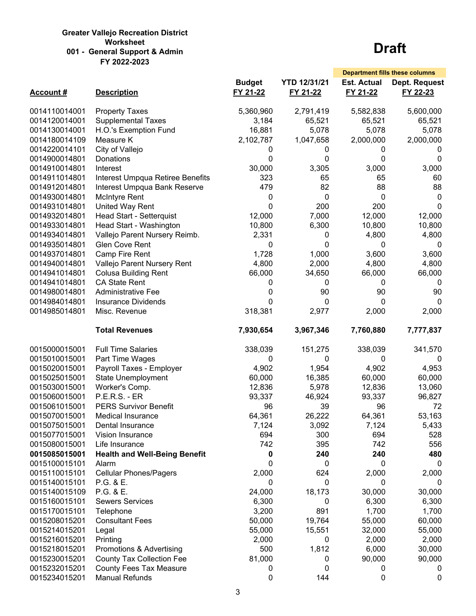#### **Greater Vallejo Recreation District Worksheet 001 - General Support & Admin FY 2022-2023**

|                  |                                      |               |                     |                    | <b>Department fills these columns</b> |
|------------------|--------------------------------------|---------------|---------------------|--------------------|---------------------------------------|
|                  |                                      | <b>Budget</b> | <b>YTD 12/31/21</b> | <b>Est. Actual</b> | Dept. Request                         |
| <b>Account #</b> | <b>Description</b>                   | FY 21-22      | FY 21-22            | FY 21-22           | FY 22-23                              |
| 0014110014001    | <b>Property Taxes</b>                | 5,360,960     | 2,791,419           | 5,582,838          | 5,600,000                             |
| 0014120014001    | <b>Supplemental Taxes</b>            | 3,184         | 65,521              | 65,521             | 65,521                                |
| 0014130014001    | H.O.'s Exemption Fund                | 16,881        | 5,078               | 5,078              | 5,078                                 |
| 0014180014109    | Measure K                            | 2,102,787     | 1,047,658           | 2,000,000          | 2,000,000                             |
| 0014220014101    | City of Vallejo                      | 0             | 0                   | 0                  | U                                     |
| 0014900014801    | Donations                            | $\Omega$      | $\Omega$            | 0                  | 0                                     |
| 0014910014801    | Interest                             | 30,000        | 3,305               | 3,000              | 3,000                                 |
| 0014911014801    | Interest Umpqua Retiree Benefits     | 323           | 65                  | 65                 | 60                                    |
| 0014912014801    | Interest Umpqua Bank Reserve         | 479           | 82                  | 88                 | 88                                    |
| 0014930014801    | <b>McIntyre Rent</b>                 | 0             | 0                   | 0                  | 0                                     |
| 0014931014801    | United Way Rent                      | 0             | 200                 | 200                | 0                                     |
| 0014932014801    | Head Start - Setterquist             | 12,000        | 7,000               | 12,000             | 12,000                                |
| 0014933014801    | Head Start - Washington              | 10,800        | 6,300               | 10,800             | 10,800                                |
| 0014934014801    | Vallejo Parent Nursery Reimb.        | 2,331         | 0                   | 4,800              | 4,800                                 |
| 0014935014801    | Glen Cove Rent                       | 0             | 0                   | 0                  | 0                                     |
| 0014937014801    | Camp Fire Rent                       | 1,728         | 1,000               | 3,600              | 3,600                                 |
| 0014940014801    | Vallejo Parent Nursery Rent          | 4,800         | 2,000               | 4,800              | 4,800                                 |
| 0014941014801    | <b>Colusa Building Rent</b>          | 66,000        | 34,650              | 66,000             | 66,000                                |
| 0014941014801    | <b>CA State Rent</b>                 | 0             | 0                   | 0                  | 0                                     |
| 0014980014801    | <b>Administrative Fee</b>            | 0             | 90                  | 90                 | 90                                    |
| 0014984014801    | <b>Insurance Dividends</b>           | $\Omega$      | $\mathbf{0}$        | 0                  | $\Omega$                              |
| 0014985014801    | Misc. Revenue                        | 318,381       | 2,977               | 2,000              | 2,000                                 |
|                  | <b>Total Revenues</b>                | 7,930,654     | 3,967,346           | 7,760,880          | 7,777,837                             |
| 0015000015001    | <b>Full Time Salaries</b>            | 338,039       | 151,275             | 338,039            | 341,570                               |
| 0015010015001    | Part Time Wages                      | 0             | 0                   | 0                  | $\Omega$                              |
| 0015020015001    | Payroll Taxes - Employer             | 4,902         | 1,954               | 4,902              | 4,953                                 |
| 0015025015001    | <b>State Unemployment</b>            | 60,000        | 16,385              | 60,000             | 60,000                                |
| 0015030015001    | Worker's Comp.                       | 12,836        | 5,978               | 12,836             | 13,060                                |
| 0015060015001    | <b>P.E.R.S. - ER</b>                 | 93,337        | 46,924              | 93,337             | 96,827                                |
| 0015061015001    | <b>PERS Survivor Benefit</b>         | 96            | 39                  | 96                 | 72                                    |
| 0015070015001    | <b>Medical Insurance</b>             | 64,361        | 26,222              | 64,361             | 53,163                                |
| 0015075015001    | Dental Insurance                     | 7,124         | 3,092               | 7,124              | 5,433                                 |
| 0015077015001    | Vision Insurance                     | 694           | 300                 | 694                | 528                                   |
| 0015080015001    | Life Insurance                       | 742           | 395                 | 742                | 556                                   |
| 0015085015001    | <b>Health and Well-Being Benefit</b> | 0             | 240                 | 240                | 480                                   |
| 0015100015101    | Alarm                                | 0             | 0                   | 0                  | 0                                     |
| 0015110015101    | <b>Cellular Phones/Pagers</b>        | 2,000         | 624                 | 2,000              | 2,000                                 |
| 0015140015101    | P.G. & E.                            | 0             | 0                   | 0                  | 0                                     |
| 0015140015109    | P.G. & E.                            | 24,000        | 18,173              | 30,000             | 30,000                                |
| 0015160015101    | <b>Sewers Services</b>               | 6,300         | 0                   | 6,300              | 6,300                                 |
| 0015170015101    | Telephone                            | 3,200         | 891                 | 1,700              | 1,700                                 |
| 0015208015201    | <b>Consultant Fees</b>               | 50,000        | 19,764              | 55,000             | 60,000                                |
| 0015214015201    | Legal                                | 55,000        | 15,551              | 32,000             | 55,000                                |
| 0015216015201    | Printing                             | 2,000         | 0                   | 2,000              | 2,000                                 |
| 0015218015201    | Promotions & Advertising             | 500           | 1,812               | 6,000              | 30,000                                |
| 0015230015201    | <b>County Tax Collection Fee</b>     | 81,000        | 0                   | 90,000             | 90,000                                |
| 0015232015201    | <b>County Fees Tax Measure</b>       | 0             | 0                   | 0                  | 0                                     |
| 0015234015201    | <b>Manual Refunds</b>                | 0             | 144                 | 0                  | $\pmb{0}$                             |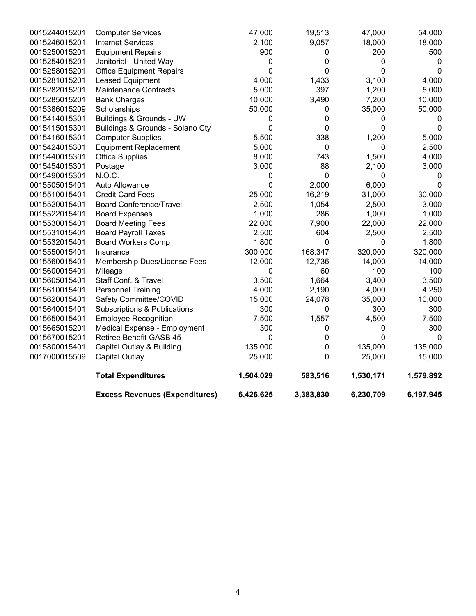| 6,426,625<br>3,383,830<br>6,230,709<br>6,197,945 | <b>Excess Revenues (Expenditures)</b>   |               |
|--------------------------------------------------|-----------------------------------------|---------------|
| 1,504,029<br>583,516<br>1,530,171<br>1,579,892   | <b>Total Expenditures</b>               |               |
| 25,000<br>0<br>25,000<br>15,000                  | Capital Outlay                          | 0017000015509 |
| 135,000<br>0<br>135,000<br>135,000               | Capital Outlay & Building               | 0015800015401 |
| 0<br>0<br>0<br>0                                 | <b>Retiree Benefit GASB 45</b>          | 0015670015201 |
| 300<br>0<br>300<br>0                             | Medical Expense - Employment            | 0015665015201 |
| 1,557<br>7,500<br>4,500<br>7,500                 | <b>Employee Recognition</b>             | 0015650015401 |
| 300<br>300<br>300<br>0                           | <b>Subscriptions &amp; Publications</b> | 0015640015401 |
| 15,000<br>24,078<br>35,000<br>10,000             | Safety Committee/COVID                  | 0015620015401 |
| 4,000<br>2,190<br>4,250<br>4,000                 | <b>Personnel Training</b>               | 0015610015401 |
| 3,500<br>1,664<br>3,400<br>3,500                 | Staff Conf. & Travel                    | 0015605015401 |
| 60<br>100<br>100<br>0                            | Mileage                                 | 0015600015401 |
| 14,000<br>12,000<br>12,736<br>14,000             | Membership Dues/License Fees            | 0015560015401 |
| 168,347<br>320,000<br>300,000<br>320,000         | Insurance                               | 0015550015401 |
| 1,800<br>$\mathbf 0$<br>0<br>1,800               | <b>Board Workers Comp</b>               | 0015532015401 |
| 2,500<br>604<br>2,500<br>2,500                   | <b>Board Payroll Taxes</b>              | 0015531015401 |
| 22,000<br>7,900<br>22,000<br>22,000              | <b>Board Meeting Fees</b>               | 0015530015401 |
| 1,000<br>286<br>1,000<br>1,000                   | <b>Board Expenses</b>                   | 0015522015401 |
| 2,500<br>1,054<br>2,500<br>3,000                 | <b>Board Conference/Travel</b>          | 0015520015401 |
| 25,000<br>16,219<br>31,000<br>30,000             | <b>Credit Card Fees</b>                 | 0015510015401 |
| 0<br>2,000<br>6,000<br>$\Omega$                  | Auto Allowance                          | 0015505015401 |
| 0<br>0<br>0<br>0                                 | N.O.C.                                  | 0015490015301 |
| 88<br>3,000<br>2,100<br>3,000                    | Postage                                 | 0015454015301 |
| 8,000<br>743<br>1,500<br>4,000                   | <b>Office Supplies</b>                  | 0015440015301 |
| 5,000<br>0<br>$\boldsymbol{0}$<br>2,500          | <b>Equipment Replacement</b>            | 0015424015301 |
| 1,200<br>5,500<br>338<br>5,000                   | <b>Computer Supplies</b>                | 0015416015301 |
| 0<br>0<br>0<br>$\Omega$                          | Buildings & Grounds - Solano Cty        | 0015415015301 |
| 0<br>0<br>0<br>0                                 | Buildings & Grounds - UW                | 0015414015301 |
| 50,000<br>35,000<br>50,000<br>0                  | Scholarships                            | 0015386015209 |
| 10,000<br>3,490<br>7,200<br>10,000               | <b>Bank Charges</b>                     | 0015285015201 |
| 5,000<br>5,000<br>397<br>1,200                   | <b>Maintenance Contracts</b>            | 0015282015201 |
| 4,000<br>1,433<br>3,100<br>4,000                 | Leased Equipment                        | 0015281015201 |
| 0<br>0<br>0<br>0                                 | <b>Office Equipment Repairs</b>         | 0015258015201 |
| $\pmb{0}$<br>0<br>0<br>0                         | Janitorial - United Way                 | 0015254015201 |
| 900<br>200<br>500<br>0                           | <b>Equipment Repairs</b>                | 0015250015201 |
| 2,100<br>9,057<br>18,000<br>18,000               | <b>Internet Services</b>                | 0015246015201 |
| 47,000<br>47,000<br>54,000<br>19,513             | <b>Computer Services</b>                | 0015244015201 |
|                                                  |                                         |               |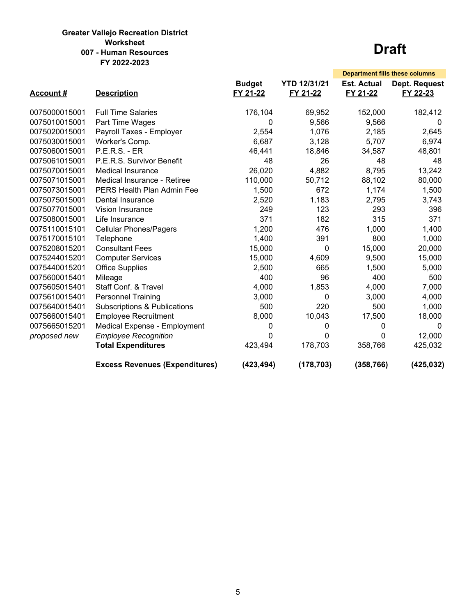#### **Greater Vallejo Recreation District Worksheet 007 - Human Resources FY 2022-2023**

|               |                                         |               |                     |                    | <b>Department fills these columns</b> |
|---------------|-----------------------------------------|---------------|---------------------|--------------------|---------------------------------------|
|               |                                         | <b>Budget</b> | <b>YTD 12/31/21</b> | <b>Est. Actual</b> | Dept. Request                         |
| Account#      | <b>Description</b>                      | FY 21-22      | FY 21-22            | FY 21-22           | FY 22-23                              |
| 0075000015001 | <b>Full Time Salaries</b>               | 176,104       | 69,952              | 152,000            |                                       |
|               |                                         |               |                     |                    | 182,412                               |
| 0075010015001 | Part Time Wages                         | 0             | 9,566               | 9,566              | 0                                     |
| 0075020015001 | Payroll Taxes - Employer                | 2,554         | 1,076               | 2,185              | 2,645                                 |
| 0075030015001 | Worker's Comp.                          | 6,687         | 3,128               | 5,707              | 6,974                                 |
| 0075060015001 | <b>P.E.R.S. - ER</b>                    | 46,441        | 18,846              | 34,587             | 48,801                                |
| 0075061015001 | P.E.R.S. Survivor Benefit               | 48            | 26                  | 48                 | 48                                    |
| 0075070015001 | <b>Medical Insurance</b>                | 26,020        | 4,882               | 8,795              | 13,242                                |
| 0075071015001 | Medical Insurance - Retiree             | 110,000       | 50,712              | 88,102             | 80,000                                |
| 0075073015001 | <b>PERS Health Plan Admin Fee</b>       | 1,500         | 672                 | 1,174              | 1,500                                 |
| 0075075015001 | Dental Insurance                        | 2,520         | 1,183               | 2,795              | 3,743                                 |
| 0075077015001 | Vision Insurance                        | 249           | 123                 | 293                | 396                                   |
| 0075080015001 | Life Insurance                          | 371           | 182                 | 315                | 371                                   |
| 0075110015101 | <b>Cellular Phones/Pagers</b>           | 1,200         | 476                 | 1,000              | 1,400                                 |
| 0075170015101 | Telephone                               | 1,400         | 391                 | 800                | 1,000                                 |
| 0075208015201 | <b>Consultant Fees</b>                  | 15,000        | 0                   | 15,000             | 20,000                                |
| 0075244015201 | <b>Computer Services</b>                | 15,000        | 4,609               | 9,500              | 15,000                                |
| 0075440015201 | <b>Office Supplies</b>                  | 2,500         | 665                 | 1,500              | 5,000                                 |
| 0075600015401 | Mileage                                 | 400           | 96                  | 400                | 500                                   |
| 0075605015401 | Staff Conf. & Travel                    | 4,000         | 1,853               | 4,000              | 7,000                                 |
| 0075610015401 | <b>Personnel Training</b>               | 3,000         | 0                   | 3,000              | 4,000                                 |
| 0075640015401 | <b>Subscriptions &amp; Publications</b> | 500           | 220                 | 500                | 1,000                                 |
| 0075660015401 | <b>Employee Recruitment</b>             | 8,000         | 10,043              | 17,500             | 18,000                                |
| 0075665015201 | Medical Expense - Employment            | 0             | 0                   | 0                  | $\Omega$                              |
| proposed new  | <b>Employee Recognition</b>             | 0             | 0                   | 0                  | 12,000                                |
|               | <b>Total Expenditures</b>               | 423,494       | 178,703             | 358,766            | 425,032                               |
|               | <b>Excess Revenues (Expenditures)</b>   | (423, 494)    | (178, 703)          | (358, 766)         | (425, 032)                            |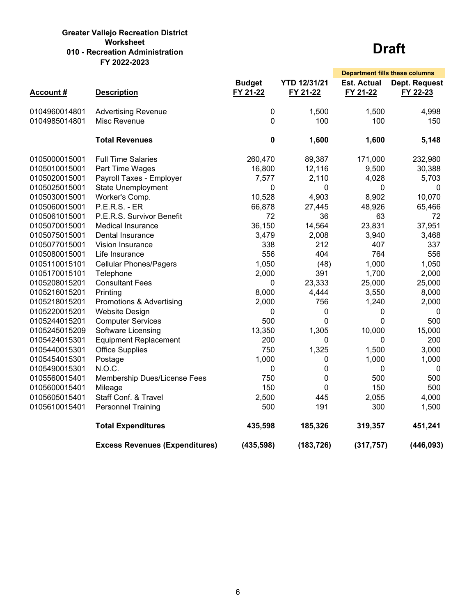#### **Greater Vallejo Recreation District Worksheet 010 - Recreation Administration FY 2022-2023**

|                 |                                       |                           |                                 | <b>Department fills these columns</b> |                                  |
|-----------------|---------------------------------------|---------------------------|---------------------------------|---------------------------------------|----------------------------------|
| <b>Account#</b> | <b>Description</b>                    | <b>Budget</b><br>FY 21-22 | <b>YTD 12/31/21</b><br>FY 21-22 | <b>Est. Actual</b><br>FY 21-22        | <b>Dept. Request</b><br>FY 22-23 |
| 0104960014801   | <b>Advertising Revenue</b>            | 0                         | 1,500                           | 1,500                                 | 4,998                            |
| 0104985014801   | Misc Revenue                          | 0                         | 100                             | 100                                   | 150                              |
|                 | <b>Total Revenues</b>                 | 0                         | 1,600                           | 1,600                                 | 5,148                            |
| 0105000015001   | <b>Full Time Salaries</b>             | 260,470                   | 89,387                          | 171,000                               | 232,980                          |
| 0105010015001   | Part Time Wages                       | 16,800                    | 12,116                          | 9,500                                 | 30,388                           |
| 0105020015001   | Payroll Taxes - Employer              | 7,577                     | 2,110                           | 4,028                                 | 5,703                            |
| 0105025015001   | <b>State Unemployment</b>             | 0                         | 0                               | 0                                     | $\mathbf{0}$                     |
| 0105030015001   | Worker's Comp.                        | 10,528                    | 4,903                           | 8,902                                 | 10,070                           |
| 0105060015001   | <b>P.E.R.S. - ER</b>                  | 66,878                    | 27,445                          | 48,926                                | 65,466                           |
| 0105061015001   | P.E.R.S. Survivor Benefit             | 72                        | 36                              | 63                                    | 72                               |
| 0105070015001   | <b>Medical Insurance</b>              | 36,150                    | 14,564                          | 23,831                                | 37,951                           |
| 0105075015001   | Dental Insurance                      | 3,479                     | 2,008                           | 3,940                                 | 3,468                            |
| 0105077015001   | Vision Insurance                      | 338                       | 212                             | 407                                   | 337                              |
| 0105080015001   | Life Insurance                        | 556                       | 404                             | 764                                   | 556                              |
| 0105110015101   | <b>Cellular Phones/Pagers</b>         | 1,050                     | (48)                            | 1,000                                 | 1,050                            |
| 0105170015101   | Telephone                             | 2,000                     | 391                             | 1,700                                 | 2,000                            |
| 0105208015201   | <b>Consultant Fees</b>                | 0                         | 23,333                          | 25,000                                | 25,000                           |
| 0105216015201   | Printing                              | 8,000                     | 4,444                           | 3,550                                 | 8,000                            |
| 0105218015201   | Promotions & Advertising              | 2,000                     | 756                             | 1,240                                 | 2,000                            |
| 0105220015201   | <b>Website Design</b>                 | 0                         | 0                               | $\mathbf 0$                           | 0                                |
| 0105244015201   | <b>Computer Services</b>              | 500                       | 0                               | $\Omega$                              | 500                              |
| 0105245015209   | Software Licensing                    | 13,350                    | 1,305                           | 10,000                                | 15,000                           |
| 0105424015301   | <b>Equipment Replacement</b>          | 200                       | $\Omega$                        | $\Omega$                              | 200                              |
| 0105440015301   | <b>Office Supplies</b>                | 750                       | 1,325                           | 1,500                                 | 3,000                            |
| 0105454015301   | Postage                               | 1,000                     | $\mathbf 0$                     | 1,000                                 | 1,000                            |
| 0105490015301   | N.O.C.                                | 0                         | 0                               | 0                                     | $\mathbf 0$                      |
| 0105560015401   | Membership Dues/License Fees          | 750                       | 0                               | 500                                   | 500                              |
| 0105600015401   | Mileage                               | 150                       | 0                               | 150                                   | 500                              |
| 0105605015401   | Staff Conf. & Travel                  | 2,500                     | 445                             | 2,055                                 | 4,000                            |
| 0105610015401   | <b>Personnel Training</b>             | 500                       | 191                             | 300                                   | 1,500                            |
|                 | <b>Total Expenditures</b>             | 435,598                   | 185,326                         | 319,357                               | 451,241                          |
|                 | <b>Excess Revenues (Expenditures)</b> | (435, 598)                | (183, 726)                      | (317, 757)                            | (446, 093)                       |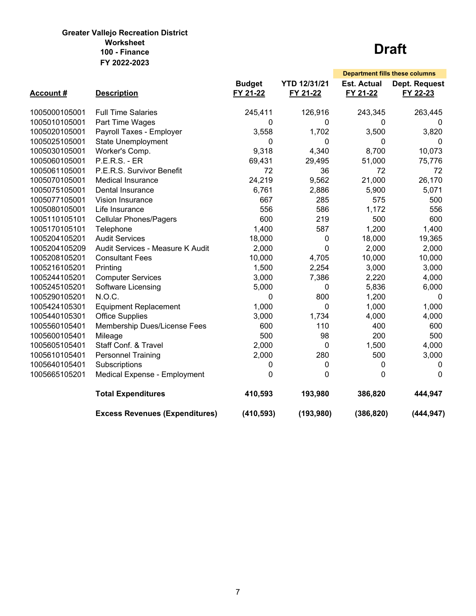### **Greater Vallejo Recreation District Worksheet FY 2022-2023 100 - Finance Draft**

|                 |                                       |               |                     |                    | <b>Department fills these columns</b> |
|-----------------|---------------------------------------|---------------|---------------------|--------------------|---------------------------------------|
|                 |                                       | <b>Budget</b> | <b>YTD 12/31/21</b> | <b>Est. Actual</b> | Dept. Request                         |
| <b>Account#</b> | <b>Description</b>                    | FY 21-22      | FY 21-22            | FY 21-22           | FY 22-23                              |
| 1005000105001   | <b>Full Time Salaries</b>             | 245,411       | 126,916             | 243,345            | 263,445                               |
| 1005010105001   | Part Time Wages                       | 0             | 0                   | 0                  | $\Omega$                              |
| 1005020105001   | Payroll Taxes - Employer              | 3,558         | 1,702               | 3,500              | 3,820                                 |
| 1005025105001   | <b>State Unemployment</b>             | 0             | 0                   | 0                  | 0                                     |
| 1005030105001   | Worker's Comp.                        | 9,318         | 4,340               | 8,700              | 10,073                                |
| 1005060105001   | <b>P.E.R.S. - ER</b>                  | 69,431        | 29,495              | 51,000             | 75,776                                |
| 1005061105001   | P.E.R.S. Survivor Benefit             | 72            | 36                  | 72                 | 72                                    |
| 1005070105001   | <b>Medical Insurance</b>              | 24,219        | 9,562               | 21,000             | 26,170                                |
| 1005075105001   | Dental Insurance                      | 6,761         | 2,886               | 5,900              | 5,071                                 |
| 1005077105001   | Vision Insurance                      | 667           | 285                 | 575                | 500                                   |
| 1005080105001   | Life Insurance                        | 556           | 586                 | 1,172              | 556                                   |
| 1005110105101   | <b>Cellular Phones/Pagers</b>         | 600           | 219                 | 500                | 600                                   |
| 1005170105101   | Telephone                             | 1,400         | 587                 | 1,200              | 1,400                                 |
| 1005204105201   | <b>Audit Services</b>                 | 18,000        | 0                   | 18,000             | 19,365                                |
| 1005204105209   | Audit Services - Measure K Audit      | 2,000         | 0                   | 2,000              | 2,000                                 |
| 1005208105201   | <b>Consultant Fees</b>                | 10,000        | 4,705               | 10,000             | 10,000                                |
| 1005216105201   | Printing                              | 1,500         | 2,254               | 3,000              | 3,000                                 |
| 1005244105201   | <b>Computer Services</b>              | 3,000         | 7,386               | 2,220              | 4,000                                 |
| 1005245105201   | Software Licensing                    | 5,000         | 0                   | 5,836              | 6,000                                 |
| 1005290105201   | N.O.C.                                | 0             | 800                 | 1,200              | $\Omega$                              |
| 1005424105301   | <b>Equipment Replacement</b>          | 1,000         | 0                   | 1,000              | 1,000                                 |
| 1005440105301   | <b>Office Supplies</b>                | 3,000         | 1,734               | 4,000              | 4,000                                 |
| 1005560105401   | Membership Dues/License Fees          | 600           | 110                 | 400                | 600                                   |
| 1005600105401   | Mileage                               | 500           | 98                  | 200                | 500                                   |
| 1005605105401   | Staff Conf. & Travel                  | 2,000         | 0                   | 1,500              | 4,000                                 |
| 1005610105401   | <b>Personnel Training</b>             | 2,000         | 280                 | 500                | 3,000                                 |
| 1005640105401   | Subscriptions                         | 0             | 0                   | 0                  | 0                                     |
| 1005665105201   | Medical Expense - Employment          | 0             | 0                   | 0                  | $\Omega$                              |
|                 | <b>Total Expenditures</b>             | 410,593       | 193,980             | 386,820            | 444,947                               |
|                 | <b>Excess Revenues (Expenditures)</b> | (410, 593)    | (193, 980)          | (386, 820)         | (444, 947)                            |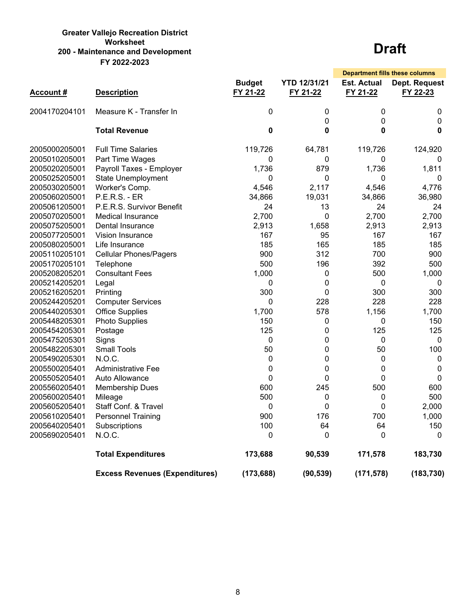#### **Greater Vallejo Recreation District Worksheet 200 - Maintenance and Development FY 2022-2023**

|                 |                                       |                           |                                 |                                | <b>Department fills these columns</b> |
|-----------------|---------------------------------------|---------------------------|---------------------------------|--------------------------------|---------------------------------------|
| <b>Account#</b> | <b>Description</b>                    | <b>Budget</b><br>FY 21-22 | <b>YTD 12/31/21</b><br>FY 21-22 | <b>Est. Actual</b><br>FY 21-22 | Dept. Request<br>FY 22-23             |
| 2004170204101   | Measure K - Transfer In               | $\mathbf 0$               | 0                               | 0                              | $\pmb{0}$                             |
|                 | <b>Total Revenue</b>                  | 0                         | 0<br>0                          | $\overline{0}$<br>0            | $\mathbf{0}$<br>$\bf{0}$              |
| 2005000205001   | <b>Full Time Salaries</b>             | 119,726                   | 64,781                          | 119,726                        | 124,920                               |
| 2005010205001   | Part Time Wages                       | 0                         | 0                               | 0                              | 0                                     |
| 2005020205001   | Payroll Taxes - Employer              | 1,736                     | 879                             | 1,736                          | 1,811                                 |
| 2005025205001   | <b>State Unemployment</b>             | $\mathbf{0}$              | 0                               | $\mathbf{0}$                   | $\mathbf{0}$                          |
| 2005030205001   | Worker's Comp.                        | 4,546                     | 2,117                           | 4,546                          | 4,776                                 |
| 2005060205001   | <b>P.E.R.S. - ER</b>                  | 34,866                    | 19,031                          | 34,866                         | 36,980                                |
| 2005061205001   | P.E.R.S. Survivor Benefit             | 24                        | 13                              | 24                             | 24                                    |
| 2005070205001   | <b>Medical Insurance</b>              | 2,700                     | 0                               | 2,700                          | 2,700                                 |
| 2005075205001   | Dental Insurance                      | 2,913                     | 1,658                           | 2,913                          | 2,913                                 |
| 2005077205001   | <b>Vision Insurance</b>               | 167                       | 95                              | 167                            | 167                                   |
| 2005080205001   | Life Insurance                        | 185                       | 165                             | 185                            | 185                                   |
| 2005110205101   | <b>Cellular Phones/Pagers</b>         | 900                       | 312                             | 700                            | 900                                   |
| 2005170205101   | Telephone                             | 500                       | 196                             | 392                            | 500                                   |
| 2005208205201   | <b>Consultant Fees</b>                | 1,000                     | 0                               | 500                            | 1,000                                 |
| 2005214205201   | Legal                                 | 0                         | 0                               | 0                              | 0                                     |
| 2005216205201   | Printing                              | 300                       | 0                               | 300                            | 300                                   |
| 2005244205201   | <b>Computer Services</b>              | 0                         | 228                             | 228                            | 228                                   |
| 2005440205301   | <b>Office Supplies</b>                | 1,700                     | 578                             | 1,156                          | 1,700                                 |
| 2005448205301   | <b>Photo Supplies</b>                 | 150                       | 0                               | 0                              | 150                                   |
| 2005454205301   | Postage                               | 125                       | 0                               | 125                            | 125                                   |
| 2005475205301   | Signs                                 | 0                         | 0                               | 0                              | 0                                     |
| 2005482205301   | <b>Small Tools</b>                    | 50                        | 0                               | 50                             | 100                                   |
| 2005490205301   | N.O.C.                                | $\mathbf 0$               | 0                               | 0                              | 0                                     |
| 2005500205401   | <b>Administrative Fee</b>             | 0                         | 0                               | 0                              | 0                                     |
| 2005505205401   | Auto Allowance                        | 0                         | 0                               | 0                              | 0                                     |
| 2005560205401   | <b>Membership Dues</b>                | 600                       | 245                             | 500                            | 600                                   |
| 2005600205401   | Mileage                               | 500                       | 0                               | 0                              | 500                                   |
| 2005605205401   | Staff Conf. & Travel                  | 0                         | 0                               | 0                              | 2,000                                 |
| 2005610205401   | <b>Personnel Training</b>             | 900                       | 176                             | 700                            | 1,000                                 |
| 2005640205401   | Subscriptions                         | 100                       | 64                              | 64                             | 150                                   |
| 2005690205401   | N.O.C.                                | $\mathbf 0$               | 0                               | $\overline{0}$                 | $\mathbf{0}$                          |
|                 | <b>Total Expenditures</b>             | 173,688                   | 90,539                          | 171,578                        | 183,730                               |
|                 | <b>Excess Revenues (Expenditures)</b> | (173, 688)                | (90, 539)                       | (171, 578)                     | (183, 730)                            |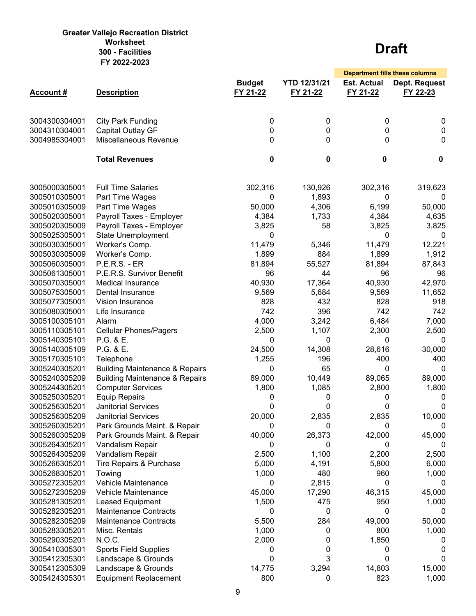#### **Greater Vallejo Recreation District Worksheet 300 - Facilities FY 2022-2023**

|                 |                                           |                           |                                 | <b>Department fills these columns</b> |                           |
|-----------------|-------------------------------------------|---------------------------|---------------------------------|---------------------------------------|---------------------------|
| <b>Account#</b> | <b>Description</b>                        | <b>Budget</b><br>FY 21-22 | <b>YTD 12/31/21</b><br>FY 21-22 | <b>Est. Actual</b><br>FY 21-22        | Dept. Request<br>FY 22-23 |
| 3004300304001   | <b>City Park Funding</b>                  | 0                         | 0                               | 0                                     | 0                         |
| 3004310304001   | <b>Capital Outlay GF</b>                  | 0                         | 0                               | 0                                     | $\mathbf 0$               |
| 3004985304001   | Miscellaneous Revenue                     | 0                         | 0                               | 0                                     | 0                         |
|                 | <b>Total Revenues</b>                     | 0                         | $\mathbf 0$                     | 0                                     | 0                         |
| 3005000305001   | <b>Full Time Salaries</b>                 | 302,316                   | 130,926                         | 302,316                               | 319,623                   |
| 3005010305001   | Part Time Wages                           | 0                         | 1,893                           | 0                                     | 0                         |
| 3005010305009   | Part Time Wages                           | 50,000                    | 4,306                           | 6,199                                 | 50,000                    |
| 3005020305001   | Payroll Taxes - Employer                  | 4,384                     | 1,733                           | 4,384                                 | 4,635                     |
| 3005020305009   | Payroll Taxes - Employer                  | 3,825                     | 58                              | 3,825                                 | 3,825                     |
| 3005025305001   | <b>State Unemployment</b>                 | 0                         |                                 | 0                                     | 0                         |
| 3005030305001   | Worker's Comp.                            | 11,479                    | 5,346                           | 11,479                                | 12,221                    |
| 3005030305009   | Worker's Comp.                            | 1,899                     | 884                             | 1,899                                 | 1,912                     |
| 3005060305001   | <b>P.E.R.S. - ER</b>                      | 81,894                    | 55,527                          | 81,894                                | 87,843                    |
| 3005061305001   | P.E.R.S. Survivor Benefit                 | 96                        | 44                              | 96                                    | 96                        |
| 3005070305001   | <b>Medical Insurance</b>                  | 40,930                    | 17,364                          | 40,930                                | 42,970                    |
| 3005075305001   | Dental Insurance                          | 9,569                     | 5,684                           | 9,569                                 | 11,652                    |
| 3005077305001   | Vision Insurance                          | 828                       | 432                             | 828                                   | 918                       |
| 3005080305001   | Life Insurance                            | 742                       | 396                             | 742                                   | 742                       |
| 3005100305101   | Alarm                                     | 4,000                     | 3,242                           | 6,484                                 | 7,000                     |
| 3005110305101   | <b>Cellular Phones/Pagers</b>             | 2,500                     | 1,107                           | 2,300                                 | 2,500                     |
| 3005140305101   | P.G. & E.                                 | 0                         | 0                               | 0                                     | 0                         |
| 3005140305109   | P.G. & E.                                 | 24,500                    | 14,308                          | 28,616                                | 30,000                    |
| 3005170305101   | Telephone                                 | 1,255                     | 196                             | 400                                   | 400                       |
| 3005240305201   | <b>Building Maintenance &amp; Repairs</b> | 0                         | 65                              | 0                                     | 0                         |
| 3005240305209   | <b>Building Maintenance &amp; Repairs</b> | 89,000                    | 10,449                          | 89,065                                | 89,000                    |
| 3005244305201   | <b>Computer Services</b>                  | 1,800                     | 1,085                           | 2,800                                 | 1,800                     |
| 3005250305201   | <b>Equip Repairs</b>                      | 0                         | 0                               | 0                                     | 0                         |
| 3005256305201   | <b>Janitorial Services</b>                | 0                         | 0                               | 0                                     | 0                         |
| 3005256305209   | <b>Janitorial Services</b>                | 20,000                    | 2,835                           | 2,835                                 | 10,000                    |
| 3005260305201   | Park Grounds Maint. & Repair              | 0                         | 0                               | 0                                     | 0                         |
| 3005260305209   | Park Grounds Maint. & Repair              | 40,000                    | 26,373                          | 42,000                                | 45,000                    |
| 3005264305201   | Vandalism Repair                          | 0                         | 0                               | 0                                     | 0                         |
| 3005264305209   | Vandalism Repair                          | 2,500                     | 1,100                           | 2,200                                 | 2,500                     |
| 3005266305201   | <b>Tire Repairs &amp; Purchase</b>        | 5,000                     | 4,191                           | 5,800                                 | 6,000                     |
| 3005268305201   | Towing                                    | 1,000                     | 480                             | 960                                   | 1,000                     |
| 3005272305201   | Vehicle Maintenance                       | 0                         | 2,815                           | 0                                     | 0                         |
| 3005272305209   | Vehicle Maintenance                       | 45,000                    | 17,290                          | 46,315                                | 45,000                    |
| 3005281305201   | Leased Equipment                          | 1,500                     | 475                             | 950                                   | 1,000                     |
| 3005282305201   | <b>Maintenance Contracts</b>              | 0                         | 0                               | 0                                     | 0                         |
| 3005282305209   | <b>Maintenance Contracts</b>              | 5,500                     | 284                             | 49,000                                | 50,000                    |
| 3005283305201   | Misc. Rentals                             | 1,000                     | 0                               | 800                                   | 1,000                     |
| 3005290305201   | N.O.C.                                    | 2,000                     | 0                               | 1,850                                 | 0                         |
| 3005410305301   | <b>Sports Field Supplies</b>              | 0                         | 0                               | 0                                     | 0                         |
| 3005412305301   | Landscape & Grounds                       | 0                         | 3                               | 0                                     | $\Omega$                  |
| 3005412305309   | Landscape & Grounds                       | 14,775                    | 3,294                           | 14,803                                | 15,000                    |
| 3005424305301   | <b>Equipment Replacement</b>              | 800                       | 0                               | 823                                   | 1,000                     |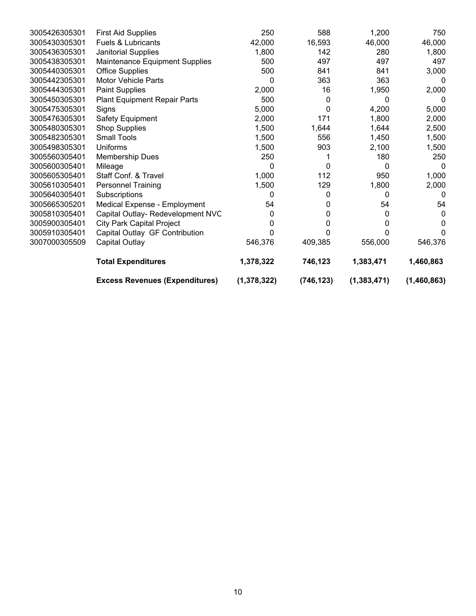|               | <b>Excess Revenues (Expenditures)</b> | (1, 378, 322) | (746, 123) | (1, 383, 471) | (1,460,863) |
|---------------|---------------------------------------|---------------|------------|---------------|-------------|
|               | <b>Total Expenditures</b>             | 1,378,322     | 746,123    | 1,383,471     | 1,460,863   |
| 3007000305509 | Capital Outlay                        | 546,376       | 409,385    | 556,000       | 546,376     |
| 3005910305401 | Capital Outlay GF Contribution        |               |            |               | 0           |
| 3005900305401 | <b>City Park Capital Project</b>      |               | 0          | 0             | 0           |
| 3005810305401 | Capital Outlay- Redevelopment NVC     | 0             | 0          | 0             | 0           |
| 3005665305201 | Medical Expense - Employment          | 54            | 0          | 54            | 54          |
| 3005640305401 | Subscriptions                         | 0             | 0          | 0             | 0           |
| 3005610305401 | <b>Personnel Training</b>             | 1,500         | 129        | 1,800         | 2,000       |
| 3005605305401 | Staff Conf. & Travel                  | 1,000         | 112        | 950           | 1,000       |
| 3005600305401 | Mileage                               | 0             | 0          | 0             | 0           |
| 3005560305401 | Membership Dues                       | 250           |            | 180           | 250         |
| 3005498305301 | <b>Uniforms</b>                       | 1,500         | 903        | 2,100         | 1,500       |
| 3005482305301 | <b>Small Tools</b>                    | 1,500         | 556        | 1,450         | 1,500       |
| 3005480305301 | <b>Shop Supplies</b>                  | 1,500         | 1,644      | 1,644         | 2,500       |
| 3005476305301 | Safety Equipment                      | 2,000         | 171        | 1,800         | 2,000       |
| 3005475305301 | Signs                                 | 5,000         | 0          | 4,200         | 5,000       |
| 3005450305301 | <b>Plant Equipment Repair Parts</b>   | 500           | $\Omega$   | 0             | n           |
| 3005444305301 | <b>Paint Supplies</b>                 | 2,000         | 16         | 1,950         | 2,000       |
| 3005442305301 | <b>Motor Vehicle Parts</b>            | 0             | 363        | 363           | $\Omega$    |
| 3005440305301 | <b>Office Supplies</b>                | 500           | 841        | 841           | 3,000       |
| 3005438305301 | Maintenance Equipment Supplies        | 500           | 497        | 497           | 497         |
| 3005436305301 | Janitorial Supplies                   | 1,800         | 142        | 280           | 1,800       |
| 3005430305301 | <b>Fuels &amp; Lubricants</b>         | 42,000        | 16,593     | 46,000        | 46,000      |
| 3005426305301 | <b>First Aid Supplies</b>             | 250           | 588        | 1,200         | 750         |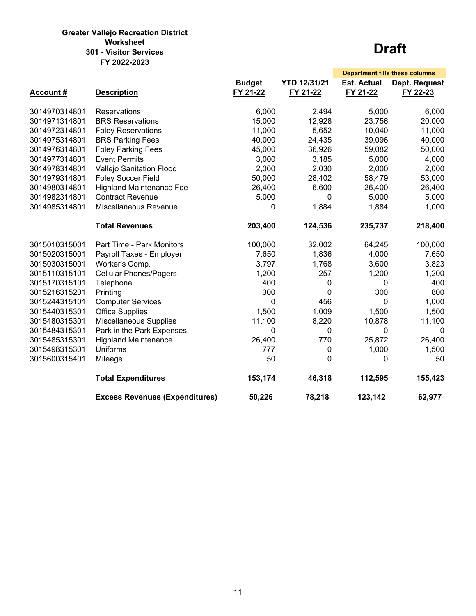#### **Greater Vallejo Recreation District Worksheet 301 - Visitor Services FY 2022-2023**

|                 |                                       |               |                     | <b>Department fills these columns</b> |               |
|-----------------|---------------------------------------|---------------|---------------------|---------------------------------------|---------------|
|                 |                                       | <b>Budget</b> | <b>YTD 12/31/21</b> | <b>Est. Actual</b>                    | Dept. Request |
| <b>Account#</b> | <b>Description</b>                    | FY 21-22      | FY 21-22            | FY 21-22                              | FY 22-23      |
|                 |                                       |               |                     |                                       |               |
| 3014970314801   | Reservations                          | 6,000         | 2,494               | 5,000                                 | 6,000         |
| 3014971314801   | <b>BRS Reservations</b>               | 15,000        | 12,928              | 23,756                                | 20,000        |
| 3014972314801   | <b>Foley Reservations</b>             | 11,000        | 5,652               | 10,040                                | 11,000        |
| 3014975314801   | <b>BRS Parking Fees</b>               | 40,000        | 24,435              | 39,096                                | 40,000        |
| 3014976314801   | <b>Foley Parking Fees</b>             | 45,000        | 36,926              | 59,082                                | 50,000        |
| 3014977314801   | <b>Event Permits</b>                  | 3,000         | 3,185               | 5,000                                 | 4,000         |
| 3014978314801   | Vallejo Sanitation Flood              | 2,000         | 2,030               | 2,000                                 | 2,000         |
| 3014979314801   | <b>Foley Soccer Field</b>             | 50,000        | 28,402              | 58,479                                | 53,000        |
| 3014980314801   | <b>Highland Maintenance Fee</b>       | 26,400        | 6,600               | 26,400                                | 26,400        |
| 3014982314801   | <b>Contract Revenue</b>               | 5,000         | 0                   | 5,000                                 | 5,000         |
| 3014985314801   | Miscellaneous Revenue                 | 0             | 1,884               | 1,884                                 | 1,000         |
|                 | <b>Total Revenues</b>                 | 203,400       | 124,536             | 235,737                               | 218,400       |
| 3015010315001   | Part Time - Park Monitors             | 100,000       | 32,002              | 64,245                                | 100,000       |
| 3015020315001   | Payroll Taxes - Employer              | 7,650         | 1,836               | 4,000                                 | 7,650         |
| 3015030315001   | Worker's Comp.                        | 3,797         | 1,768               | 3,600                                 | 3,823         |
| 3015110315101   | <b>Cellular Phones/Pagers</b>         | 1,200         | 257                 | 1,200                                 | 1,200         |
| 3015170315101   | Telephone                             | 400           | 0                   | 0                                     | 400           |
| 3015216315201   | Printing                              | 300           | $\mathbf{0}$        | 300                                   | 800           |
| 3015244315101   | <b>Computer Services</b>              | 0             | 456                 | 0                                     | 1,000         |
| 3015440315301   | <b>Office Supplies</b>                | 1,500         | 1,009               | 1,500                                 | 1,500         |
| 3015480315301   | <b>Miscellaneous Supplies</b>         | 11,100        | 8,220               | 10,878                                | 11,100        |
| 3015484315301   | Park in the Park Expenses             | 0             | $\mathbf{0}$        | 0                                     | 0             |
| 3015485315301   | <b>Highland Maintenance</b>           | 26,400        | 770                 | 25,872                                | 26,400        |
| 3015498315301   | <b>Uniforms</b>                       | 777           | 0                   | 1,000                                 | 1,500         |
| 3015600315401   | Mileage                               | 50            | $\mathbf{0}$        | 0                                     | 50            |
|                 | <b>Total Expenditures</b>             | 153,174       | 46,318              | 112,595                               | 155,423       |
|                 | <b>Excess Revenues (Expenditures)</b> | 50,226        | 78,218              | 123,142                               | 62,977        |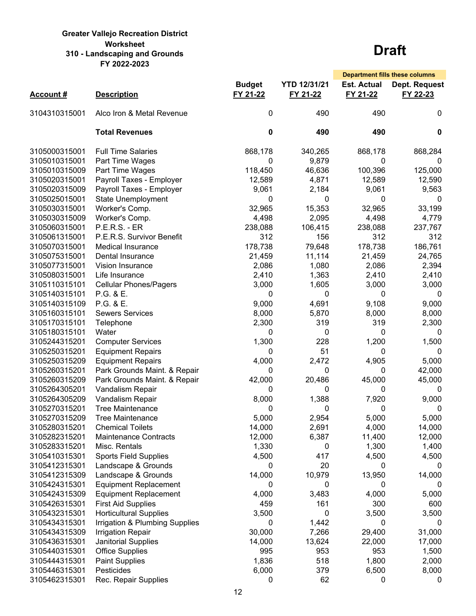#### **Greater Vallejo Recreation District Worksheet 310 - Landscaping and Grounds FY 2022-2023**

|                 |                                |                           |                                 |                                | <b>Department fills these columns</b> |
|-----------------|--------------------------------|---------------------------|---------------------------------|--------------------------------|---------------------------------------|
| <b>Account#</b> | <b>Description</b>             | <b>Budget</b><br>FY 21-22 | <b>YTD 12/31/21</b><br>FY 21-22 | <b>Est. Actual</b><br>FY 21-22 | Dept. Request<br>FY 22-23             |
| 3104310315001   | Alco Iron & Metal Revenue      | 0                         | 490                             | 490                            | $\mathbf{0}$                          |
|                 | <b>Total Revenues</b>          | 0                         | 490                             | 490                            | 0                                     |
| 3105000315001   | <b>Full Time Salaries</b>      | 868,178                   | 340,265                         | 868,178                        | 868,284                               |
| 3105010315001   | Part Time Wages                | 0                         | 9,879                           | 0                              | 0                                     |
| 3105010315009   | Part Time Wages                | 118,450                   | 46,636                          | 100,396                        | 125,000                               |
| 3105020315001   | Payroll Taxes - Employer       | 12,589                    | 4,871                           | 12,589                         | 12,590                                |
| 3105020315009   | Payroll Taxes - Employer       | 9,061                     | 2,184                           | 9,061                          | 9,563                                 |
| 3105025015001   | <b>State Unemployment</b>      | 0                         | 0                               | 0                              | 0                                     |
| 3105030315001   | Worker's Comp.                 | 32,965                    | 15,353                          | 32,965                         | 33,199                                |
| 3105030315009   | Worker's Comp.                 | 4,498                     | 2,095                           | 4,498                          | 4,779                                 |
| 3105060315001   | <b>P.E.R.S. - ER</b>           | 238,088                   | 106,415                         | 238,088                        | 237,767                               |
| 3105061315001   | P.E.R.S. Survivor Benefit      | 312                       | 156                             | 312                            | 312                                   |
| 3105070315001   | <b>Medical Insurance</b>       | 178,738                   | 79,648                          | 178,738                        | 186,761                               |
| 3105075315001   | Dental Insurance               | 21,459                    | 11,114                          | 21,459                         | 24,765                                |
| 3105077315001   | Vision Insurance               | 2,086                     | 1,080                           | 2,086                          | 2,394                                 |
| 3105080315001   | Life Insurance                 | 2,410                     | 1,363                           | 2,410                          | 2,410                                 |
| 3105110315101   | <b>Cellular Phones/Pagers</b>  | 3,000                     | 1,605                           | 3,000                          | 3,000                                 |
| 3105140315101   | P.G. & E.                      | 0                         | 0                               | 0                              | 0                                     |
| 3105140315109   | P.G. & E.                      | 9,000                     | 4,691                           | 9,108                          | 9,000                                 |
| 3105160315101   | <b>Sewers Services</b>         | 8,000                     | 5,870                           | 8,000                          |                                       |
|                 |                                |                           |                                 |                                | 8,000                                 |
| 3105170315101   | Telephone                      | 2,300                     | 319                             | 319                            | 2,300                                 |
| 3105180315101   | Water                          | 0                         | 0                               | 0                              | 0                                     |
| 3105244315201   | <b>Computer Services</b>       | 1,300                     | 228                             | 1,200                          | 1,500                                 |
| 3105250315201   | <b>Equipment Repairs</b>       | 0                         | 51                              | 0                              | 0                                     |
| 3105250315209   | <b>Equipment Repairs</b>       | 4,000                     | 2,472                           | 4,905                          | 5,000                                 |
| 3105260315201   | Park Grounds Maint. & Repair   | 0                         | 0                               | 0                              | 42,000                                |
| 3105260315209   | Park Grounds Maint. & Repair   | 42,000                    | 20,486                          | 45,000                         | 45,000                                |
| 3105264305201   | Vandalism Repair               | 0                         | 0                               | 0                              | 0                                     |
| 3105264305209   | Vandalism Repair               | 8,000                     | 1,388                           | 7,920                          | 9,000                                 |
| 3105270315201   | <b>Tree Maintenance</b>        | 0                         | 0                               | 0                              | 0                                     |
| 3105270315209   | <b>Tree Maintenance</b>        | 5,000                     | 2,954                           | 5,000                          | 5,000                                 |
| 3105280315201   | <b>Chemical Toilets</b>        | 14,000                    | 2,691                           | 4,000                          | 14,000                                |
| 3105282315201   | <b>Maintenance Contracts</b>   | 12,000                    | 6,387                           | 11,400                         | 12,000                                |
| 3105283315201   | Misc. Rentals                  | 1,330                     | 0                               | 1,300                          | 1,400                                 |
| 3105410315301   | <b>Sports Field Supplies</b>   | 4,500                     | 417                             | 4,500                          | 4,500                                 |
| 3105412315301   | Landscape & Grounds            | 0                         | 20                              | 0                              | 0                                     |
| 3105412315309   | Landscape & Grounds            | 14,000                    | 10,979                          | 13,950                         | 14,000                                |
| 3105424315301   | <b>Equipment Replacement</b>   | 0                         | 0                               | 0                              | 0                                     |
| 3105424315309   | <b>Equipment Replacement</b>   | 4,000                     | 3,483                           | 4,000                          | 5,000                                 |
| 3105426315301   | <b>First Aid Supplies</b>      | 459                       | 161                             | 300                            | 600                                   |
| 3105432315301   | <b>Horticultural Supplies</b>  | 3,500                     | 0                               | 3,500                          | 3,500                                 |
| 3105434315301   | Irrigation & Plumbing Supplies | 0                         | 1,442                           | 0                              | U                                     |
| 3105434315309   | <b>Irrigation Repair</b>       | 30,000                    | 7,266                           | 29,400                         | 31,000                                |
| 3105436315301   | Janitorial Supplies            | 14,000                    | 13,624                          | 22,000                         | 17,000                                |
| 3105440315301   | <b>Office Supplies</b>         | 995                       | 953                             | 953                            | 1,500                                 |
| 3105444315301   | <b>Paint Supplies</b>          | 1,836                     | 518                             | 1,800                          | 2,000                                 |
| 3105446315301   | Pesticides                     | 6,000                     | 379                             | 6,500                          | 8,000                                 |
| 3105462315301   | Rec. Repair Supplies           | 0                         | 62                              | 0                              | 0                                     |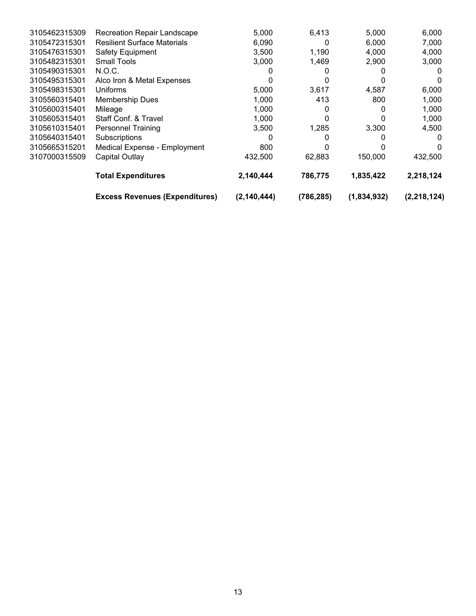|               | <b>Excess Revenues (Expenditures)</b> | (2, 140, 444) | (786, 285) | (1,834,932) | (2, 218, 124) |
|---------------|---------------------------------------|---------------|------------|-------------|---------------|
|               | <b>Total Expenditures</b>             | 2,140,444     | 786.775    | 1,835,422   | 2,218,124     |
| 3107000315509 | Capital Outlay                        | 432,500       | 62,883     | 150,000     | 432,500       |
| 3105665315201 | Medical Expense - Employment          | 800           |            |             |               |
| 3105640315401 | Subscriptions                         |               |            |             |               |
| 3105610315401 | <b>Personnel Training</b>             | 3,500         | 1.285      | 3,300       | 4,500         |
| 3105605315401 | Staff Conf. & Travel                  | 1,000         |            |             | 1,000         |
| 3105600315401 | Mileage                               | 1,000         |            |             | 1,000         |
| 3105560315401 | <b>Membership Dues</b>                | 1,000         | 413        | 800         | 1,000         |
| 3105498315301 | Uniforms                              | 5.000         | 3,617      | 4,587       | 6,000         |
| 3105495315301 | Alco Iron & Metal Expenses            |               |            |             | $\Omega$      |
| 3105490315301 | N.O.C.                                |               |            |             | $\Omega$      |
| 3105482315301 | <b>Small Tools</b>                    | 3,000         | 1,469      | 2,900       | 3,000         |
| 3105476315301 | <b>Safety Equipment</b>               | 3,500         | 1,190      | 4,000       | 4,000         |
| 3105472315301 | <b>Resilient Surface Materials</b>    | 6,090         | 0          | 6,000       | 7,000         |
| 3105462315309 | <b>Recreation Repair Landscape</b>    | 5,000         | 6,413      | 5,000       | 6,000         |
|               |                                       |               |            |             |               |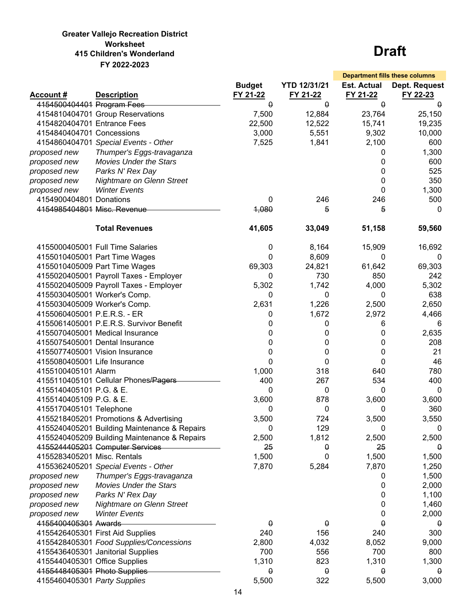### **Greater Vallejo Recreation District Worksheet 415 Children's Wonderland FY 2022-2023**

|                               |                                              |                           |                                 |                                | <b>Department fills these columns</b> |
|-------------------------------|----------------------------------------------|---------------------------|---------------------------------|--------------------------------|---------------------------------------|
| <b>Account#</b>               | <b>Description</b>                           | <b>Budget</b><br>FY 21-22 | <b>YTD 12/31/21</b><br>FY 21-22 | <b>Est. Actual</b><br>FY 21-22 | Dept. Request<br>FY 22-23             |
| 4154500404401 Program Fees    |                                              | $\theta$                  | $\overline{0}$                  | $\Omega$                       | $\theta$                              |
|                               | 4154810404701 Group Reservations             | 7,500                     | 12,884                          | 23,764                         | 25,150                                |
| 4154820404701 Entrance Fees   |                                              | 22,500                    | 12,522                          | 15,741                         | 19,235                                |
| 4154840404701 Concessions     |                                              | 3,000                     | 5,551                           | 9,302                          | 10,000                                |
|                               | 4154860404701 Special Events - Other         | 7,525                     | 1,841                           | 2,100                          | 600                                   |
| proposed new                  | Thumper's Eggs-travaganza                    |                           |                                 | 0                              | 1,300                                 |
| proposed new                  | <b>Movies Under the Stars</b>                |                           |                                 | 0                              | 600                                   |
| proposed new                  | Parks N' Rex Day                             |                           |                                 | 0                              | 525                                   |
| proposed new                  | <b>Nightmare on Glenn Street</b>             |                           |                                 | 0                              | 350                                   |
| proposed new                  | <b>Winter Events</b>                         |                           |                                 | 0                              | 1,300                                 |
| 4154900404801 Donations       |                                              | 0                         | 246                             | 246                            | 500                                   |
| 4154985404801 Misc. Revenue   |                                              | 4,080                     | 5                               | 5                              | 0                                     |
|                               | <b>Total Revenues</b>                        | 41,605                    | 33,049                          | 51,158                         | 59,560                                |
|                               |                                              |                           |                                 |                                |                                       |
|                               | 4155000405001 Full Time Salaries             | 0                         | 8,164                           | 15,909                         | 16,692                                |
|                               | 4155010405001 Part Time Wages                | 0                         | 8,609                           | 0                              | 0                                     |
|                               | 4155010405009 Part Time Wages                | 69,303                    | 24,821                          | 61,642                         | 69,303                                |
|                               | 4155020405001 Payroll Taxes - Employer       | 0                         | 730                             | 850                            | 242                                   |
|                               | 4155020405009 Payroll Taxes - Employer       | 5,302                     | 1,742                           | 4,000                          | 5,302                                 |
|                               | 4155030405001 Worker's Comp.                 | 0                         | 0                               | 0                              | 638                                   |
| 4155030405009 Worker's Comp.  |                                              | 2,631                     | 1,226                           | 2,500                          | 2,650                                 |
| 4155060405001 P.E.R.S. - ER   |                                              | 0                         | 1,672                           | 2,972                          | 4,466                                 |
|                               | 4155061405001 P.E.R.S. Survivor Benefit      | 0                         | 0                               | 6                              | 6                                     |
|                               | 4155070405001 Medical Insurance              | 0                         | 0                               | 0                              | 2,635                                 |
|                               | 4155075405001 Dental Insurance               | 0                         | 0                               | 0                              | 208                                   |
|                               | 4155077405001 Vision Insurance               | 0                         | 0                               | 0                              | 21                                    |
| 4155080405001 Life Insurance  |                                              | 0                         | 0                               | $\mathbf 0$                    | 46                                    |
| 4155100405101 Alarm           |                                              | 1,000                     | 318                             | 640                            | 780                                   |
|                               | 4155110405101 Cellular Phones/Pagers         | 400                       | 267                             | 534                            | 400                                   |
| 4155140405101 P.G. & E.       |                                              | 0                         | 0                               | 0                              | 0                                     |
| 4155140405109 P.G. & E.       |                                              | 3,600                     | 878                             | 3,600                          | 3,600                                 |
| 4155170405101 Telephone       |                                              | 0                         | 0                               | 0                              | 360                                   |
|                               | 4155218405201 Promotions & Advertising       | 3,500                     | 724                             | 3,500                          | 3,550                                 |
|                               | 4155240405201 Building Maintenance & Repairs | 0                         | 129                             | 0                              | 0                                     |
|                               | 4155240405209 Building Maintenance & Repairs | 2,500                     | 1,812                           | 2,500                          | 2,500                                 |
|                               | 4155244405201 Computer Services              | 25                        | θ                               | 25                             | 0                                     |
| 4155283405201 Misc. Rentals   |                                              | 1,500                     | 0                               | 1,500                          | 1,500                                 |
|                               | 4155362405201 Special Events - Other         | 7,870                     | 5,284                           | 7,870                          | 1,250                                 |
| proposed new                  | Thumper's Eggs-travaganza                    |                           |                                 | 0                              | 1,500                                 |
| proposed new                  | <b>Movies Under the Stars</b>                |                           |                                 | 0                              | 2,000                                 |
| proposed new                  | Parks N' Rex Day                             |                           |                                 | 0                              | 1,100                                 |
| proposed new                  | Nightmare on Glenn Street                    |                           |                                 | 0                              | 1,460                                 |
| proposed new                  | <b>Winter Events</b>                         |                           |                                 | 0                              | 2,000                                 |
| 4155400405301 Awards          |                                              | 0                         | θ                               | 0                              | 0                                     |
|                               | 4155426405301 First Aid Supplies             | 240                       | 156                             | 240                            | 300                                   |
|                               | 4155428405301 Food Supplies/Concessions      | 2,800                     | 4,032                           | 8,052                          | 9,000                                 |
|                               | 4155436405301 Janitorial Supplies            | 700                       | 556                             | 700                            | 800                                   |
| 4155440405301 Office Supplies |                                              | 1,310                     | 823                             | 1,310                          | 1,300                                 |
| 4155448405301 Photo Supplies  |                                              | $\theta$                  | 0                               | 0                              | 0                                     |
| 4155460405301 Party Supplies  |                                              | 5,500                     | 322                             | 5,500                          | 3,000                                 |
|                               |                                              |                           |                                 |                                |                                       |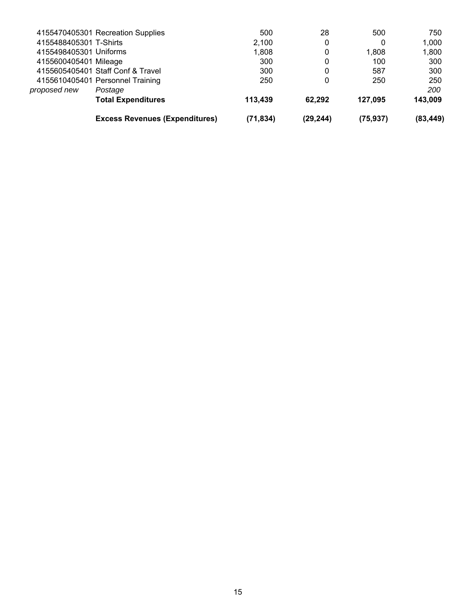|                        | <b>Excess Revenues (Expenditures)</b> | (71, 834) | (29, 244) | (75, 937) | (83, 449) |
|------------------------|---------------------------------------|-----------|-----------|-----------|-----------|
|                        | <b>Total Expenditures</b>             | 113,439   | 62.292    | 127.095   | 143,009   |
| proposed new           | Postage                               |           |           |           | 200       |
|                        | 4155610405401 Personnel Training      | 250       | 0         | 250       | 250       |
|                        | 4155605405401 Staff Conf & Travel     | 300       | 0         | 587       | 300       |
| 4155600405401 Mileage  |                                       | 300       | 0         | 100       | 300       |
| 4155498405301 Uniforms |                                       | 1,808     | 0         | 1.808     | 1,800     |
| 4155488405301 T-Shirts |                                       | 2,100     | 0         | 0         | 1,000     |
|                        | 4155470405301 Recreation Supplies     | 500       | 28        | 500       | 750       |
|                        |                                       |           |           |           |           |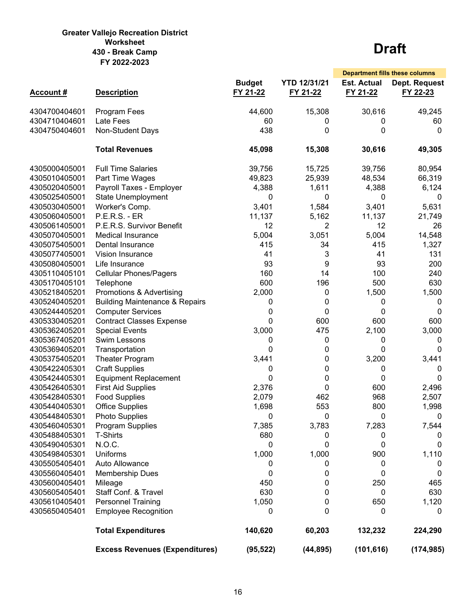#### **Greater Vallejo Recreation District Worksheet 430 - Break Camp FY 2022-2023**

|                 |                                           |                           |                                 |                                | <b>Department fills these columns</b> |
|-----------------|-------------------------------------------|---------------------------|---------------------------------|--------------------------------|---------------------------------------|
| <b>Account#</b> | <b>Description</b>                        | <b>Budget</b><br>FY 21-22 | <b>YTD 12/31/21</b><br>FY 21-22 | <b>Est. Actual</b><br>FY 21-22 | Dept. Request<br>FY 22-23             |
| 4304700404601   | Program Fees                              | 44,600                    | 15,308                          | 30,616                         | 49,245                                |
| 4304710404601   | Late Fees                                 | 60                        | 0                               | 0                              | 60                                    |
| 4304750404601   | Non-Student Days                          | 438                       | 0                               | 0                              | 0                                     |
|                 | <b>Total Revenues</b>                     | 45,098                    | 15,308                          | 30,616                         | 49,305                                |
| 4305000405001   | <b>Full Time Salaries</b>                 | 39,756                    | 15,725                          | 39,756                         | 80,954                                |
| 4305010405001   | Part Time Wages                           | 49,823                    | 25,939                          | 48,534                         | 66,319                                |
| 4305020405001   | Payroll Taxes - Employer                  | 4,388                     | 1,611                           | 4,388                          | 6,124                                 |
| 4305025405001   | State Unemployment                        | 0                         | 0                               | 0                              | 0                                     |
| 4305030405001   | Worker's Comp.                            | 3,401                     | 1,584                           | 3,401                          | 5,631                                 |
| 4305060405001   | <b>P.E.R.S. - ER</b>                      | 11,137                    | 5,162                           | 11,137                         | 21,749                                |
| 4305061405001   | P.E.R.S. Survivor Benefit                 | 12                        | 2                               | 12                             | 26                                    |
| 4305070405001   | <b>Medical Insurance</b>                  | 5,004                     | 3,051                           | 5,004                          | 14,548                                |
| 4305075405001   | Dental Insurance                          | 415                       | 34                              | 415                            | 1,327                                 |
| 4305077405001   | <b>Vision Insurance</b>                   | 41                        | 3                               | 41                             | 131                                   |
| 4305080405001   | Life Insurance                            | 93                        | 9                               | 93                             | 200                                   |
| 4305110405101   | <b>Cellular Phones/Pagers</b>             | 160                       | 14                              | 100                            | 240                                   |
| 4305170405101   | Telephone                                 | 600                       | 196                             | 500                            | 630                                   |
| 4305218405201   | Promotions & Advertising                  | 2,000                     | 0                               | 1,500                          | 1,500                                 |
| 4305240405201   | <b>Building Maintenance &amp; Repairs</b> | 0                         | 0                               | 0                              | 0                                     |
| 4305244405201   | <b>Computer Services</b>                  | 0                         | 0                               | 0                              | 0                                     |
| 4305330405201   | <b>Contract Classes Expense</b>           | 0                         | 600                             | 600                            | 600                                   |
| 4305362405201   | <b>Special Events</b>                     | 3,000                     | 475                             | 2,100                          | 3,000                                 |
| 4305367405201   | Swim Lessons                              |                           |                                 |                                |                                       |
|                 |                                           | 0<br>0                    | 0                               | 0<br>$\Omega$                  | 0<br>$\Omega$                         |
| 4305369405201   | Transportation                            |                           | 0                               |                                |                                       |
| 4305375405201   | Theater Program                           | 3,441                     | 0                               | 3,200                          | 3,441                                 |
| 4305422405301   | <b>Craft Supplies</b>                     | 0                         | 0                               | 0                              | 0                                     |
| 4305424405301   | <b>Equipment Replacement</b>              | 0                         | 0                               | 0                              | $\Omega$                              |
| 4305426405301   | <b>First Aid Supplies</b>                 | 2,376                     | 0                               | 600                            | 2,496                                 |
| 4305428405301   | <b>Food Supplies</b>                      | 2,079                     | 462                             | 968                            | 2,507                                 |
| 4305440405301   | <b>Office Supplies</b>                    | 1,698                     | 553                             | 800                            | 1,998                                 |
| 4305448405301   | <b>Photo Supplies</b>                     | 0                         | 0                               | 0                              | 0                                     |
| 4305460405301   | Program Supplies                          | 7,385                     | 3,783                           | 7,283                          | 7,544                                 |
| 4305488405301   | <b>T-Shirts</b>                           | 680                       | 0                               | 0                              |                                       |
| 4305490405301   | N.O.C.                                    | 0                         | 0                               | 0                              | 0                                     |
| 4305498405301   | Uniforms                                  | 1,000                     | 1,000                           | 900                            | 1,110                                 |
| 4305505405401   | Auto Allowance                            | 0                         | 0                               | 0                              | 0                                     |
| 4305560405401   | <b>Membership Dues</b>                    | 0                         | 0                               | 0                              | 0                                     |
| 4305600405401   | Mileage                                   | 450                       | 0                               | 250                            | 465                                   |
| 4305605405401   | Staff Conf. & Travel                      | 630                       | 0                               | 0                              | 630                                   |
| 4305610405401   | <b>Personnel Training</b>                 | 1,050                     | 0                               | 650                            | 1,120                                 |
| 4305650405401   | <b>Employee Recognition</b>               | 0                         | 0                               | 0                              | 0                                     |
|                 | <b>Total Expenditures</b>                 | 140,620                   | 60,203                          | 132,232                        | 224,290                               |
|                 | <b>Excess Revenues (Expenditures)</b>     | (95, 522)                 | (44, 895)                       | (101, 616)                     | (174, 985)                            |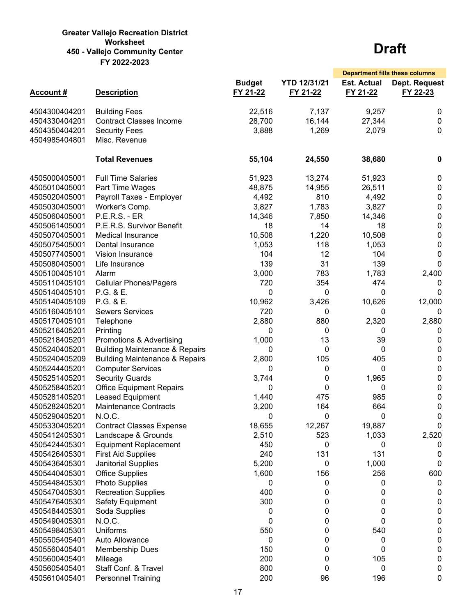#### **Greater Vallejo Recreation District Worksheet 450 - Vallejo Community Center FY 2022-2023**

|                                |                                                     |                           |                                 |                                | <b>Department fills these columns</b> |
|--------------------------------|-----------------------------------------------------|---------------------------|---------------------------------|--------------------------------|---------------------------------------|
| <b>Account#</b>                | <b>Description</b>                                  | <b>Budget</b><br>FY 21-22 | <b>YTD 12/31/21</b><br>FY 21-22 | <b>Est. Actual</b><br>FY 21-22 | Dept. Request<br>FY 22-23             |
| 4504300404201                  | <b>Building Fees</b>                                | 22,516                    | 7,137                           | 9,257                          | 0                                     |
| 4504330404201                  | <b>Contract Classes Income</b>                      | 28,700                    | 16,144                          | 27,344                         | $\mathbf 0$                           |
| 4504350404201                  | <b>Security Fees</b>                                | 3,888                     | 1,269                           | 2,079                          | 0                                     |
| 4504985404801                  | Misc. Revenue                                       |                           |                                 |                                |                                       |
|                                |                                                     |                           |                                 |                                |                                       |
|                                | <b>Total Revenues</b>                               | 55,104                    | 24,550                          | 38,680                         | $\mathbf 0$                           |
| 4505000405001                  | <b>Full Time Salaries</b>                           | 51,923                    | 13,274                          | 51,923                         | 0                                     |
| 4505010405001                  | Part Time Wages                                     | 48,875                    | 14,955                          | 26,511                         | 0                                     |
| 4505020405001                  | Payroll Taxes - Employer                            | 4,492                     | 810                             | 4,492                          | 0                                     |
| 4505030405001                  | Worker's Comp.                                      | 3,827                     | 1,783                           | 3,827                          | 0                                     |
| 4505060405001                  | <b>P.E.R.S. - ER</b>                                | 14,346                    | 7,850                           | 14,346                         | 0                                     |
| 4505061405001                  | P.E.R.S. Survivor Benefit                           | 18                        | 14                              | 18                             | 0                                     |
| 4505070405001                  | <b>Medical Insurance</b>                            | 10,508                    | 1,220                           | 10,508                         | 0                                     |
| 4505075405001                  | Dental Insurance                                    | 1,053                     | 118                             | 1,053                          | 0                                     |
| 4505077405001                  | Vision Insurance                                    | 104                       | 12                              | 104                            | 0                                     |
| 4505080405001                  | Life Insurance                                      | 139                       | 31                              | 139                            | $\Omega$                              |
| 4505100405101                  | Alarm                                               | 3,000                     | 783                             | 1,783                          | 2,400                                 |
| 4505110405101                  | <b>Cellular Phones/Pagers</b>                       | 720                       | 354                             | 474                            | 0                                     |
| 4505140405101                  | P.G. & E.                                           | 0                         | 0                               | 0                              | 0                                     |
| 4505140405109                  | P.G. & E.                                           | 10,962                    | 3,426                           | 10,626                         | 12,000                                |
| 4505160405101                  | <b>Sewers Services</b>                              | 720                       | 0                               | 0                              | 0                                     |
| 4505170405101                  | Telephone                                           | 2,880                     | 880                             | 2,320                          | 2,880                                 |
| 4505216405201                  | Printing                                            | 0                         | 0                               | 0                              | 0                                     |
| 4505218405201                  | Promotions & Advertising                            | 1,000                     | 13                              | 39                             | 0                                     |
| 4505240405201                  | <b>Building Maintenance &amp; Repairs</b>           | 0                         | 0                               | 0                              | 0                                     |
| 4505240405209                  | <b>Building Maintenance &amp; Repairs</b>           | 2,800                     | 105                             | 405                            | 0                                     |
| 4505244405201                  | <b>Computer Services</b>                            | 0                         | 0                               | 0                              | 0                                     |
| 4505251405201                  | <b>Security Guards</b>                              | 3,744                     | 0                               | 1,965                          | 0                                     |
| 4505258405201                  | <b>Office Equipment Repairs</b>                     | 0                         | 0                               | 0                              | 0                                     |
| 4505281405201                  | Leased Equipment                                    | 1,440                     | 475                             | 985                            | 0                                     |
| 4505282405201                  | <b>Maintenance Contracts</b>                        | 3,200                     | 164                             | 664                            | 0                                     |
| 4505290405201                  | N.O.C.                                              | 0                         | 0                               | 0                              | 0                                     |
| 4505330405201                  | <b>Contract Classes Expense</b>                     | 18,655                    | 12,267                          | 19,887                         | 0                                     |
| 4505412405301                  | Landscape & Grounds                                 | 2,510                     | 523                             | 1,033                          | 2,520                                 |
| 4505424405301                  | <b>Equipment Replacement</b>                        | 450                       | 0                               | 0                              | U                                     |
| 4505426405301                  | <b>First Aid Supplies</b>                           | 240<br>5,200              | 131<br>0                        | 131<br>1,000                   | 0                                     |
| 4505436405301<br>4505440405301 | <b>Janitorial Supplies</b>                          |                           |                                 | 256                            | 0                                     |
|                                | <b>Office Supplies</b>                              | 1,600                     | 156                             |                                | 600                                   |
| 4505448405301<br>4505470405301 | <b>Photo Supplies</b><br><b>Recreation Supplies</b> | 0<br>400                  | 0<br>0                          | 0<br>0                         | 0<br>0                                |
| 4505476405301                  | <b>Safety Equipment</b>                             | 300                       | 0                               | 0                              | 0                                     |
| 4505484405301                  | Soda Supplies                                       | 0                         | 0                               | 0                              | 0                                     |
| 4505490405301                  | N.O.C.                                              | 0                         | 0                               | $\mathbf 0$                    | 0                                     |
| 4505498405301                  | <b>Uniforms</b>                                     | 550                       | 0                               | 540                            | 0                                     |
| 4505505405401                  | Auto Allowance                                      | 0                         | 0                               | 0                              | 0                                     |
| 4505560405401                  | <b>Membership Dues</b>                              | 150                       | 0                               | 0                              | 0                                     |
| 4505600405401                  | Mileage                                             | 200                       | 0                               | 105                            | 0                                     |
| 4505605405401                  | Staff Conf. & Travel                                | 800                       | 0                               | 0                              | 0                                     |
| 4505610405401                  | <b>Personnel Training</b>                           | 200                       | 96                              | 196                            | 0                                     |
|                                |                                                     |                           |                                 |                                |                                       |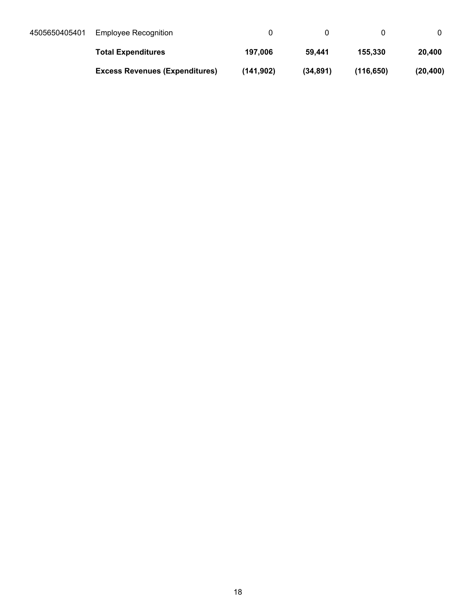| 4505650405401 | Employee Recognition                  |           |           |           |           |
|---------------|---------------------------------------|-----------|-----------|-----------|-----------|
|               | <b>Total Expenditures</b>             | 197.006   | 59.441    | 155,330   | 20,400    |
|               | <b>Excess Revenues (Expenditures)</b> | (141.902) | (34, 891) | (116.650) | (20, 400) |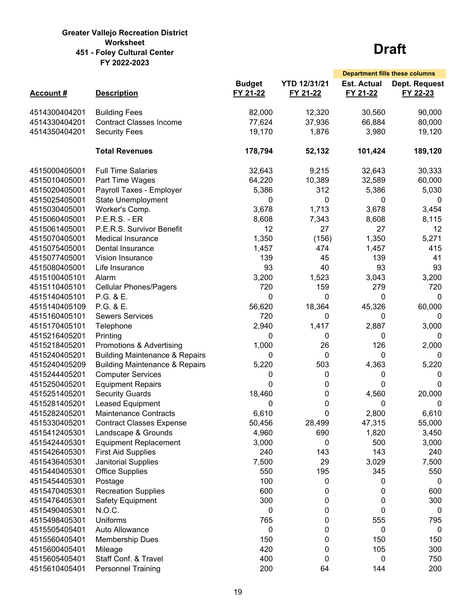#### **Greater Vallejo Recreation District Worksheet 451 - Foley Cultural Center FY 2022-2023**

|                 |                                           |                           |                                 | <b>Department fills these columns</b> |                           |
|-----------------|-------------------------------------------|---------------------------|---------------------------------|---------------------------------------|---------------------------|
| <b>Account#</b> | <b>Description</b>                        | <b>Budget</b><br>FY 21-22 | <b>YTD 12/31/21</b><br>FY 21-22 | <b>Est. Actual</b><br>FY 21-22        | Dept. Request<br>FY 22-23 |
| 4514300404201   | <b>Building Fees</b>                      | 82,000                    | 12,320                          | 30,560                                | 90,000                    |
| 4514330404201   | <b>Contract Classes Income</b>            | 77,624                    | 37,936                          | 66,884                                | 80,000                    |
| 4514350404201   | <b>Security Fees</b>                      | 19,170                    | 1,876                           | 3,980                                 | 19,120                    |
|                 |                                           |                           |                                 |                                       |                           |
|                 | <b>Total Revenues</b>                     | 178,794                   | 52,132                          | 101,424                               | 189,120                   |
| 4515000405001   | <b>Full Time Salaries</b>                 | 32,643                    | 9,215                           | 32,643                                | 30,333                    |
| 4515010405001   | Part Time Wages                           | 64,220                    | 10,389                          | 32,589                                | 60,000                    |
| 4515020405001   | Payroll Taxes - Employer                  | 5,386                     | 312                             | 5,386                                 | 5,030                     |
| 4515025405001   | <b>State Unemployment</b>                 | 0                         | 0                               | 0                                     | 0                         |
| 4515030405001   | Worker's Comp.                            | 3,678                     | 1,713                           | 3,678                                 | 3,454                     |
| 4515060405001   | <b>P.E.R.S. - ER</b>                      | 8,608                     | 7,343                           | 8,608                                 | 8,115                     |
| 4515061405001   | P.E.R.S. Survivor Benefit                 | 12                        | 27                              | 27                                    | 12                        |
| 4515070405001   | <b>Medical Insurance</b>                  | 1,350                     | (156)                           | 1,350                                 | 5,271                     |
| 4515075405001   | Dental Insurance                          | 1,457                     | 474                             | 1,457                                 | 415                       |
| 4515077405001   | Vision Insurance                          | 139                       | 45                              | 139                                   | 41                        |
| 4515080405001   | Life Insurance                            | 93                        | 40                              | 93                                    | 93                        |
| 4515100405101   | Alarm                                     | 3,200                     | 1,523                           | 3,043                                 | 3,200                     |
| 4515110405101   | <b>Cellular Phones/Pagers</b>             | 720                       | 159                             | 279                                   | 720                       |
| 4515140405101   | P.G. & E.                                 | 0                         | 0                               | 0                                     | 0                         |
| 4515140405109   | P.G. & E.                                 | 56,620                    | 18,364                          | 45,326                                | 60,000                    |
| 4515160405101   | <b>Sewers Services</b>                    | 720                       | 0                               | 0                                     | 0                         |
| 4515170405101   | Telephone                                 | 2,940                     | 1,417                           | 2,887                                 | 3,000                     |
| 4515216405201   | Printing                                  | 0                         | 0                               | 0                                     | 0                         |
| 4515218405201   | Promotions & Advertising                  | 1,000                     | 26                              | 126                                   | 2,000                     |
| 4515240405201   | <b>Building Maintenance &amp; Repairs</b> | 0                         | 0                               | 0                                     | 0                         |
| 4515240405209   | <b>Building Maintenance &amp; Repairs</b> | 5,220                     | 503                             | 4,363                                 | 5,220                     |
| 4515244405201   | <b>Computer Services</b>                  | 0                         | 0                               | 0                                     | 0                         |
| 4515250405201   | <b>Equipment Repairs</b>                  | 0                         | 0                               | 0                                     | 0                         |
| 4515251405201   | <b>Security Guards</b>                    | 18,460                    | 0                               | 4,560                                 | 20,000                    |
| 4515281405201   | Leased Equipment                          | 0                         | 0                               | 0                                     | 0                         |
| 4515282405201   | <b>Maintenance Contracts</b>              | 6,610                     | 0                               | 2,800                                 | 6,610                     |
| 4515330405201   | <b>Contract Classes Expense</b>           | 50,456                    | 28,499                          | 47,315                                | 55,000                    |
| 4515412405301   | Landscape & Grounds                       | 4,960                     | 690                             | 1,820                                 | 3,450                     |
| 4515424405301   | <b>Equipment Replacement</b>              | 3,000                     | 0                               | 500                                   | 3,000                     |
| 4515426405301   | <b>First Aid Supplies</b>                 | 240                       | 143                             | 143                                   | 240                       |
| 4515436405301   | Janitorial Supplies                       | 7,500                     | 29                              | 3,029                                 | 7,500                     |
| 4515440405301   | <b>Office Supplies</b>                    | 550                       | 195                             | 345                                   | 550                       |
| 4515454405301   | Postage                                   | 100                       | 0                               | 0                                     | 0                         |
| 4515470405301   | <b>Recreation Supplies</b>                | 600                       | 0                               | 0                                     | 600                       |
| 4515476405301   | Safety Equipment                          | 300                       | 0                               | 0                                     | 300                       |
| 4515490405301   | N.O.C.                                    | 0                         | 0                               | 0                                     | 0                         |
| 4515498405301   | <b>Uniforms</b>                           | 765                       | 0                               | 555                                   | 795                       |
| 4515505405401   | Auto Allowance                            | 0                         | 0                               | 0                                     | 0                         |
| 4515560405401   | <b>Membership Dues</b>                    | 150                       | 0                               | 150                                   | 150                       |
| 4515600405401   | Mileage                                   | 420                       | 0                               | 105                                   | 300                       |
| 4515605405401   | Staff Conf. & Travel                      | 400                       | 0                               | 0                                     | 750                       |
| 4515610405401   | <b>Personnel Training</b>                 | 200                       | 64                              | 144                                   | 200                       |
|                 |                                           |                           |                                 |                                       |                           |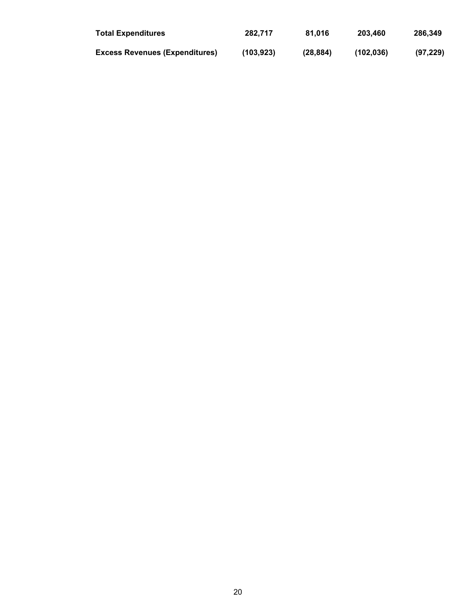| <b>Total Expenditures</b>             | 282.717   | 81.016   | 203.460   | 286.349   |
|---------------------------------------|-----------|----------|-----------|-----------|
| <b>Excess Revenues (Expenditures)</b> | (103.923) | (28.884) | (102.036) | (97, 229) |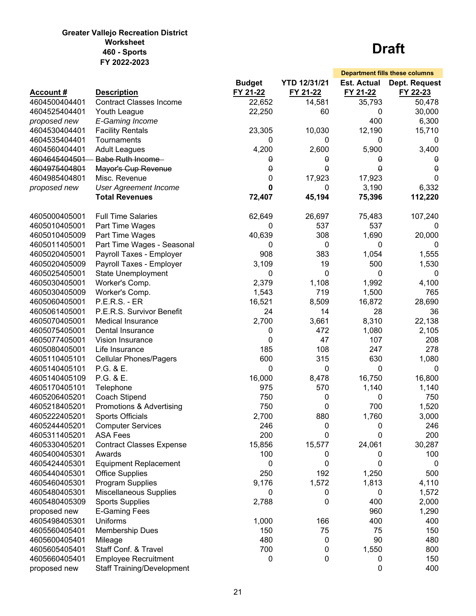#### **Greater Vallejo Recreation District Worksheet 460 - Sports FY 2022-2023**

|                 |                                   |               |                     |                    | <b>Department fills these columns</b> |
|-----------------|-----------------------------------|---------------|---------------------|--------------------|---------------------------------------|
|                 |                                   | <b>Budget</b> | <b>YTD 12/31/21</b> | <b>Est. Actual</b> | Dept. Request                         |
| <b>Account#</b> | <b>Description</b>                | FY 21-22      | FY 21-22            | FY 21-22           | FY 22-23                              |
| 4604500404401   | <b>Contract Classes Income</b>    | 22,652        | 14,581              | 35,793             | 50,478                                |
| 4604525404401   | Youth League                      | 22,250        | 60                  | 0                  | 30,000                                |
| proposed new    | E-Gaming Income                   |               |                     | 400                | 6,300                                 |
| 4604530404401   | <b>Facility Rentals</b>           | 23,305        | 10,030              | 12,190             | 15,710                                |
| 4604535404401   | Tournaments                       | 0             | 0                   | 0                  | 0                                     |
| 4604560404401   | <b>Adult Leagues</b>              | 4,200         | 2,600               | 5,900              | 3,400                                 |
| 4604645404501   | <b>Babe Ruth Income</b>           | θ             | $\theta$            | 0                  | 0                                     |
| 4604975404801   | Mayor's Cup Revenue               | $\pmb{0}$     | $\pmb{\Theta}$      | θ                  | $\theta$                              |
| 4604985404801   | Misc. Revenue                     | 0             | 17,923              | 17,923             | $\mathbf{0}$                          |
| proposed new    | <b>User Agreement Income</b>      | 0             | 0                   | 3,190              | 6,332                                 |
|                 | <b>Total Revenues</b>             | 72,407        | 45,194              | 75,396             | 112,220                               |
|                 |                                   |               |                     |                    |                                       |
| 4605000405001   | <b>Full Time Salaries</b>         | 62,649        | 26,697              | 75,483             | 107,240                               |
| 4605010405001   | Part Time Wages                   | 0             | 537                 | 537                | 0                                     |
| 4605010405009   | Part Time Wages                   | 40,639        | 308                 | 1,690              | 20,000                                |
| 4605011405001   | Part Time Wages - Seasonal        | 0             | 0                   | 0                  | 0                                     |
| 4605020405001   | Payroll Taxes - Employer          | 908           | 383                 | 1,054              | 1,555                                 |
| 4605020405009   | Payroll Taxes - Employer          | 3,109         | 19                  | 500                | 1,530                                 |
| 4605025405001   | <b>State Unemployment</b>         | 0             | 0                   | 0                  | 0                                     |
| 4605030405001   | Worker's Comp.                    | 2,379         | 1,108               | 1,992              | 4,100                                 |
| 4605030405009   | Worker's Comp.                    | 1,543         | 719                 | 1,500              | 765                                   |
| 4605060405001   | <b>P.E.R.S. - ER</b>              | 16,521        | 8,509               | 16,872             | 28,690                                |
| 4605061405001   | P.E.R.S. Survivor Benefit         | 24            | 14                  | 28                 | 36                                    |
| 4605070405001   | <b>Medical Insurance</b>          | 2,700         | 3,661               | 8,310              | 22,138                                |
| 4605075405001   | Dental Insurance                  | 0             | 472                 | 1,080              | 2,105                                 |
| 4605077405001   | Vision Insurance                  | 0             | 47                  | 107                | 208                                   |
| 4605080405001   | Life Insurance                    | 185           | 108                 | 247                | 278                                   |
| 4605110405101   | <b>Cellular Phones/Pagers</b>     | 600           | 315                 | 630                | 1,080                                 |
| 4605140405101   | P.G. & E.                         | 0             | 0                   | 0                  | 0                                     |
| 4605140405109   | P.G. & E.                         | 16,000        | 8,478               | 16,750             | 16,800                                |
| 4605170405101   | Telephone                         | 975           | 570                 | 1,140              | 1,140                                 |
| 4605206405201   |                                   | 750           | 0                   | 0                  | 750                                   |
|                 | Coach Stipend                     |               |                     | 700                |                                       |
| 4605218405201   | Promotions & Advertising          | 750           | 0                   |                    | 1,520                                 |
| 4605222405201   | <b>Sports Officials</b>           | 2,700         | 880                 | 1,760              | 3,000                                 |
| 4605244405201   | <b>Computer Services</b>          | 246           | 0                   | 0                  | 246                                   |
| 4605311405201   | <b>ASA Fees</b>                   | 200           | 0                   | 0                  | 200                                   |
| 4605330405201   | <b>Contract Classes Expense</b>   | 15,856        | 15,577              | 24,061             | 30,287                                |
| 4605400405301   | Awards                            | 100           | 0                   | 0                  | 100                                   |
| 4605424405301   | <b>Equipment Replacement</b>      | 0             | 0                   | 0                  | 0                                     |
| 4605440405301   | <b>Office Supplies</b>            | 250           | 192                 | 1,250              | 500                                   |
| 4605460405301   | Program Supplies                  | 9,176         | 1,572               | 1,813              | 4,110                                 |
| 4605480405301   | Miscellaneous Supplies            | 0             | 0                   | 0                  | 1,572                                 |
| 4605480405309   | <b>Sports Supplies</b>            | 2,788         | 0                   | 400                | 2,000                                 |
| proposed new    | <b>E-Gaming Fees</b>              |               |                     | 960                | 1,290                                 |
| 4605498405301   | <b>Uniforms</b>                   | 1,000         | 166                 | 400                | 400                                   |
| 4605560405401   | <b>Membership Dues</b>            | 150           | 75                  | 75                 | 150                                   |
| 4605600405401   | Mileage                           | 480           | 0                   | 90                 | 480                                   |
| 4605605405401   | Staff Conf. & Travel              | 700           | 0                   | 1,550              | 800                                   |
| 4605660405401   | <b>Employee Recruitment</b>       | 0             | 0                   | 0                  | 150                                   |
| proposed new    | <b>Staff Training/Development</b> |               |                     | 0                  | 400                                   |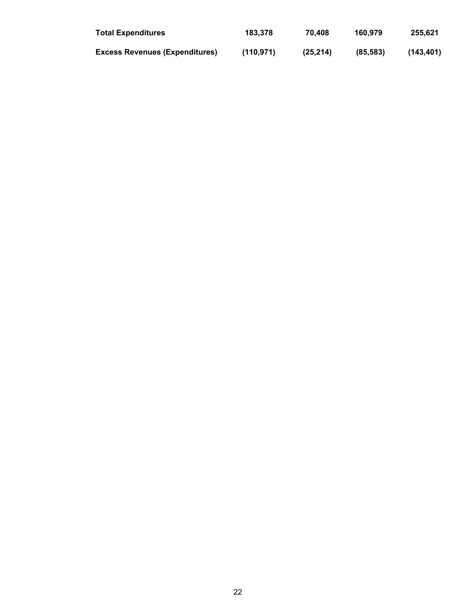| <b>Total Expenditures</b>             | 183,378   | 70.408    | 160.979  | 255.621   |
|---------------------------------------|-----------|-----------|----------|-----------|
| <b>Excess Revenues (Expenditures)</b> | (110.971) | (25, 214) | (85.583) | (143.401) |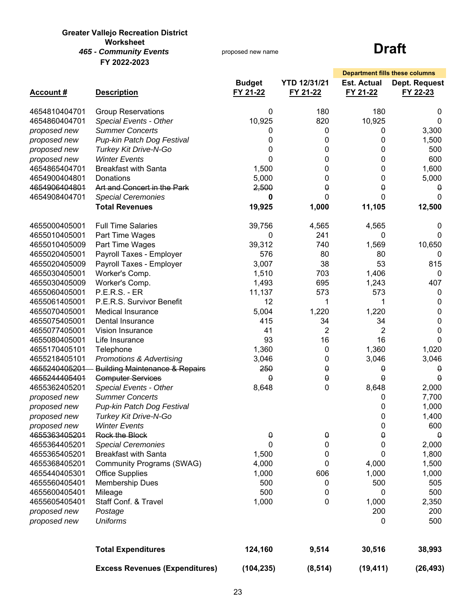#### **Greater Vallejo Recreation District Worksheet** *465 - Community Events* **FY 2022-2023**

proposed new name

|                 |                                           |                           |                                 |                                | <b>Department fills these columns</b> |
|-----------------|-------------------------------------------|---------------------------|---------------------------------|--------------------------------|---------------------------------------|
| <b>Account#</b> | <b>Description</b>                        | <b>Budget</b><br>FY 21-22 | <b>YTD 12/31/21</b><br>FY 21-22 | <b>Est. Actual</b><br>FY 21-22 | Dept. Request<br>FY 22-23             |
| 4654810404701   | <b>Group Reservations</b>                 | 0                         | 180                             | 180                            | 0                                     |
| 4654860404701   | Special Events - Other                    | 10,925                    | 820                             | 10,925                         | $\mathbf 0$                           |
| proposed new    | <b>Summer Concerts</b>                    | 0                         | 0                               | 0                              | 3,300                                 |
| proposed new    | Pup-kin Patch Dog Festival                | 0                         | 0                               | 0                              | 1,500                                 |
| proposed new    | Turkey Kit Drive-N-Go                     | 0                         | 0                               | 0                              | 500                                   |
| proposed new    | <b>Winter Events</b>                      | 0                         | 0                               | 0                              | 600                                   |
| 4654865404701   | <b>Breakfast with Santa</b>               | 1,500                     | 0                               | 0                              | 1,600                                 |
| 4654900404801   | Donations                                 | 5,000                     | 0                               | 0                              | 5,000                                 |
| 4654906404801   | Art and Concert in the Park               | 2,500                     | $\theta$                        | 0                              | 0                                     |
| 4654908404701   | <b>Special Ceremonies</b>                 | 0                         | 0                               | 0                              | $\Omega$                              |
|                 | <b>Total Revenues</b>                     | 19,925                    | 1,000                           | 11,105                         | 12,500                                |
| 4655000405001   | <b>Full Time Salaries</b>                 | 39,756                    | 4,565                           | 4,565                          | 0                                     |
| 4655010405001   | Part Time Wages                           | 0                         | 241                             | 0                              | 0                                     |
| 4655010405009   | Part Time Wages                           | 39,312                    | 740                             | 1,569                          | 10,650                                |
| 4655020405001   | Payroll Taxes - Employer                  | 576                       | 80                              | 80                             | 0                                     |
| 4655020405009   | Payroll Taxes - Employer                  | 3,007                     | 38                              | 53                             | 815                                   |
| 4655030405001   | Worker's Comp.                            | 1,510                     | 703                             | 1,406                          | 0                                     |
| 4655030405009   | Worker's Comp.                            | 1,493                     | 695                             | 1,243                          | 407                                   |
| 4655060405001   | <b>P.E.R.S. - ER</b>                      | 11,137                    | 573                             | 573                            | 0                                     |
| 4655061405001   | P.E.R.S. Survivor Benefit                 | 12                        | 1                               | 1                              | 0                                     |
| 4655070405001   | Medical Insurance                         | 5,004                     | 1,220                           | 1,220                          | 0                                     |
| 4655075405001   | Dental Insurance                          | 415                       | 34                              | 34                             | 0                                     |
| 4655077405001   | Vision Insurance                          | 41                        | $\overline{2}$                  | 2                              | 0                                     |
| 4655080405001   | Life Insurance                            | 93                        | 16                              | 16                             | $\Omega$                              |
| 4655170405101   | Telephone                                 | 1,360                     | 0                               | 1,360                          | 1,020                                 |
| 4655218405101   | <b>Promotions &amp; Advertising</b>       | 3,046                     | 0                               | 3,046                          | 3,046                                 |
| 4655240405201   | <b>Building Maintenance &amp; Repairs</b> | 250                       | 0                               | 0                              | $\pmb{\Theta}$                        |
| 4655244405401   | <b>Computer Services</b>                  | 0                         | $\pmb{\Theta}$                  | $\theta$                       | $\theta$                              |
| 4655362405201   | Special Events - Other                    | 8,648                     | 0                               | 8,648                          | 2,000                                 |
| proposed new    | <b>Summer Concerts</b>                    |                           |                                 | 0                              | 7,700                                 |
| proposed new    | Pup-kin Patch Dog Festival                |                           |                                 | 0                              | 1,000                                 |
| proposed new    | Turkey Kit Drive-N-Go                     |                           |                                 | 0                              | 1,400                                 |
| proposed new    | <b>Winter Events</b>                      |                           |                                 | 0                              | 600                                   |
| 4655363405201   | Rock the Block                            | $\pmb{\Theta}$            | 0                               | 0                              | 0                                     |
| 4655364405201   | <b>Special Ceremonies</b>                 | 0                         | 0                               | 0                              | 2,000                                 |
| 4655365405201   | <b>Breakfast with Santa</b>               | 1,500                     | 0                               | 0                              | 1,800                                 |
| 4655368405201   | <b>Community Programs (SWAG)</b>          | 4,000                     | 0                               | 4,000                          | 1,500                                 |
| 4655440405301   | <b>Office Supplies</b>                    | 1,000                     | 606                             | 1,000                          | 1,000                                 |
| 4655560405401   | Membership Dues                           | 500                       | 0                               | 500                            | 505                                   |
| 4655600405401   | Mileage                                   | 500                       | 0                               | 0                              | 500                                   |
| 4655605405401   | Staff Conf. & Travel                      | 1,000                     | 0                               | 1,000                          | 2,350                                 |
| proposed new    | Postage                                   |                           |                                 | 200                            | 200                                   |
| proposed new    | <b>Uniforms</b>                           |                           |                                 | 0                              | 500                                   |
|                 | <b>Total Expenditures</b>                 | 124,160                   | 9,514                           | 30,516                         | 38,993                                |
|                 | <b>Excess Revenues (Expenditures)</b>     | (104, 235)                | (8, 514)                        | (19, 411)                      | (26, 493)                             |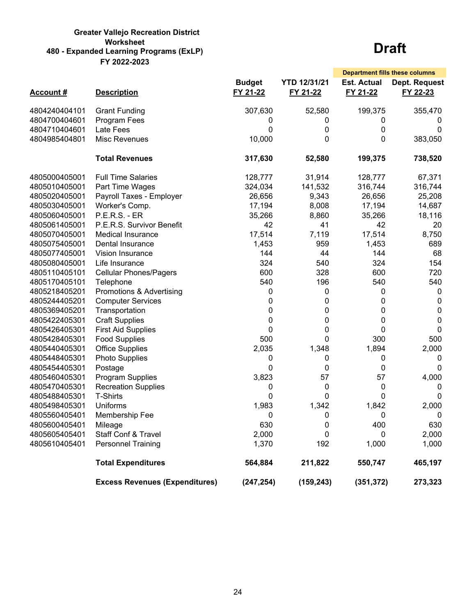#### **Greater Vallejo Recreation District Worksheet 480 - Expanded Learning Programs (ExLP) FY 2022-2023**

|                 |                                       |                           |                                 | <b>Department fills these columns</b> |                           |
|-----------------|---------------------------------------|---------------------------|---------------------------------|---------------------------------------|---------------------------|
| <b>Account#</b> | <b>Description</b>                    | <b>Budget</b><br>FY 21-22 | <b>YTD 12/31/21</b><br>FY 21-22 | <b>Est. Actual</b><br>FY 21-22        | Dept. Request<br>FY 22-23 |
| 4804240404101   | <b>Grant Funding</b>                  | 307,630                   | 52,580                          | 199,375                               | 355,470                   |
| 4804700404601   | Program Fees                          | 0                         | 0                               | 0                                     | $\Omega$                  |
| 4804710404601   | Late Fees                             | 0                         | 0                               | 0                                     | 0                         |
| 4804985404801   | Misc Revenues                         | 10,000                    | 0                               | 0                                     | 383,050                   |
|                 | <b>Total Revenues</b>                 | 317,630                   | 52,580                          | 199,375                               | 738,520                   |
| 4805000405001   | <b>Full Time Salaries</b>             | 128,777                   | 31,914                          | 128,777                               | 67,371                    |
| 4805010405001   | Part Time Wages                       | 324,034                   | 141,532                         | 316,744                               | 316,744                   |
| 4805020405001   | Payroll Taxes - Employer              | 26,656                    | 9,343                           | 26,656                                | 25,208                    |
| 4805030405001   | Worker's Comp.                        | 17,194                    | 8,008                           | 17,194                                | 14,687                    |
| 4805060405001   | <b>P.E.R.S. - ER</b>                  | 35,266                    | 8,860                           | 35,266                                | 18,116                    |
| 4805061405001   | P.E.R.S. Survivor Benefit             | 42                        | 41                              | 42                                    | 20                        |
| 4805070405001   | Medical Insurance                     | 17,514                    | 7,119                           | 17,514                                | 8,750                     |
| 4805075405001   | Dental Insurance                      | 1,453                     | 959                             | 1,453                                 | 689                       |
| 4805077405001   | Vision Insurance                      | 144                       | 44                              | 144                                   | 68                        |
| 4805080405001   | Life Insurance                        | 324                       | 540                             | 324                                   | 154                       |
| 4805110405101   | <b>Cellular Phones/Pagers</b>         | 600                       | 328                             | 600                                   | 720                       |
| 4805170405101   | Telephone                             | 540                       | 196                             | 540                                   | 540                       |
| 4805218405201   | Promotions & Advertising              | 0                         | 0                               | 0                                     | 0                         |
| 4805244405201   | <b>Computer Services</b>              | 0                         | 0                               | 0                                     | 0                         |
| 4805369405201   | Transportation                        | 0                         | 0                               | 0                                     | 0                         |
| 4805422405301   | <b>Craft Supplies</b>                 | 0                         | 0                               | 0                                     | 0                         |
| 4805426405301   | <b>First Aid Supplies</b>             | 0                         | 0                               | 0                                     | 0                         |
| 4805428405301   | <b>Food Supplies</b>                  | 500                       | 0                               | 300                                   | 500                       |
| 4805440405301   | <b>Office Supplies</b>                | 2,035                     | 1,348                           | 1,894                                 | 2,000                     |
| 4805448405301   | <b>Photo Supplies</b>                 | 0                         | 0                               | 0                                     | 0                         |
| 4805454405301   | Postage                               | 0                         | 0                               | 0                                     | 0                         |
| 4805460405301   | <b>Program Supplies</b>               | 3,823                     | 57                              | 57                                    | 4,000                     |
| 4805470405301   | <b>Recreation Supplies</b>            | 0                         | 0                               | 0                                     | 0                         |
| 4805488405301   | T-Shirts                              | 0                         | 0                               | 0                                     | 0                         |
| 4805498405301   | Uniforms                              | 1,983                     | 1,342                           | 1,842                                 | 2,000                     |
| 4805560405401   | Membership Fee                        | 0                         | 0                               | 0                                     | 0                         |
| 4805600405401   | Mileage                               | 630                       | 0                               | 400                                   | 630                       |
| 4805605405401   | Staff Conf & Travel                   | 2,000                     | 0                               | 0                                     | 2,000                     |
| 4805610405401   | <b>Personnel Training</b>             | 1,370                     | 192                             | 1,000                                 | 1,000                     |
|                 | <b>Total Expenditures</b>             | 564,884                   | 211,822                         | 550,747                               | 465,197                   |
|                 | <b>Excess Revenues (Expenditures)</b> | (247, 254)                | (159, 243)                      | (351, 372)                            | 273,323                   |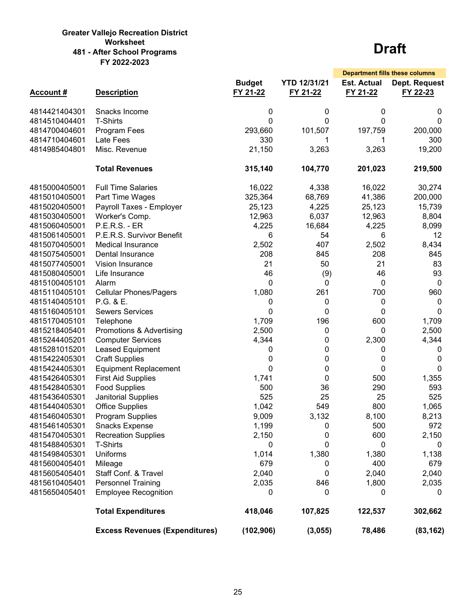#### **Greater Vallejo Recreation District Worksheet 481 - After School Programs FY 2022-2023**

|                 |                                       |                           |                                 |                                | <b>Department fills these columns</b> |
|-----------------|---------------------------------------|---------------------------|---------------------------------|--------------------------------|---------------------------------------|
| <b>Account#</b> | <b>Description</b>                    | <b>Budget</b><br>FY 21-22 | <b>YTD 12/31/21</b><br>FY 21-22 | <b>Est. Actual</b><br>FY 21-22 | Dept. Request<br>FY 22-23             |
| 4814421404301   | Snacks Income                         | 0                         | 0                               | 0                              | 0                                     |
| 4814510404401   | <b>T-Shirts</b>                       | 0                         | 0                               | 0                              | $\mathbf{0}$                          |
| 4814700404601   | Program Fees                          | 293,660                   | 101,507                         | 197,759                        | 200,000                               |
| 4814710404601   | Late Fees                             | 330                       | 1                               | 1                              | 300                                   |
| 4814985404801   | Misc. Revenue                         | 21,150                    | 3,263                           | 3,263                          | 19,200                                |
|                 | <b>Total Revenues</b>                 | 315,140                   | 104,770                         | 201,023                        | 219,500                               |
| 4815000405001   | <b>Full Time Salaries</b>             | 16,022                    | 4,338                           | 16,022                         | 30,274                                |
| 4815010405001   | Part Time Wages                       | 325,364                   | 68,769                          | 41,386                         | 200,000                               |
| 4815020405001   | Payroll Taxes - Employer              | 25,123                    | 4,225                           | 25,123                         | 15,739                                |
| 4815030405001   | Worker's Comp.                        | 12,963                    | 6,037                           | 12,963                         | 8,804                                 |
| 4815060405001   | <b>P.E.R.S. - ER</b>                  | 4,225                     | 16,684                          | 4,225                          | 8,099                                 |
| 4815061405001   | P.E.R.S. Survivor Benefit             | 6                         | 54                              | 6                              | 12                                    |
| 4815070405001   | <b>Medical Insurance</b>              | 2,502                     | 407                             | 2,502                          | 8,434                                 |
| 4815075405001   | Dental Insurance                      | 208                       | 845                             | 208                            | 845                                   |
| 4815077405001   | Vision Insurance                      | 21                        | 50                              | 21                             | 83                                    |
| 4815080405001   | Life Insurance                        | 46                        | (9)                             | 46                             | 93                                    |
| 4815100405101   | Alarm                                 | 0                         | 0                               | 0                              | 0                                     |
| 4815110405101   | <b>Cellular Phones/Pagers</b>         | 1,080                     | 261                             | 700                            | 960                                   |
| 4815140405101   | P.G. & E.                             | 0                         | 0                               | 0                              | 0                                     |
| 4815160405101   | <b>Sewers Services</b>                | 0                         | 0                               | 0                              | $\mathbf{0}$                          |
| 4815170405101   | Telephone                             | 1,709                     | 196                             | 600                            | 1,709                                 |
| 4815218405401   | Promotions & Advertising              | 2,500                     | 0                               | 0                              | 2,500                                 |
| 4815244405201   | <b>Computer Services</b>              | 4,344                     | 0                               | 2,300                          | 4,344                                 |
| 4815281015201   | Leased Equipment                      | 0                         | 0                               | 0                              | 0                                     |
| 4815422405301   | <b>Craft Supplies</b>                 | 0                         | 0                               | 0                              | 0                                     |
| 4815424405301   | <b>Equipment Replacement</b>          | 0                         | 0                               | 0                              | $\mathbf{0}$                          |
| 4815426405301   | <b>First Aid Supplies</b>             | 1,741                     | 0                               | 500                            | 1,355                                 |
| 4815428405301   | <b>Food Supplies</b>                  | 500                       | 36                              | 290                            | 593                                   |
| 4815436405301   | <b>Janitorial Supplies</b>            | 525                       | 25                              | 25                             | 525                                   |
| 4815440405301   | <b>Office Supplies</b>                | 1,042                     | 549                             | 800                            | 1,065                                 |
| 4815460405301   | <b>Program Supplies</b>               | 9,009                     | 3,132                           | 8,100                          | 8,213                                 |
| 4815461405301   | <b>Snacks Expense</b>                 | 1,199                     | 0                               | 500                            | 972                                   |
| 4815470405301   | <b>Recreation Supplies</b>            | 2,150                     | 0                               | 600                            | 2,150                                 |
| 4815488405301   | <b>T-Shirts</b>                       | 0                         | 0                               | 0                              | 0                                     |
| 4815498405301   | <b>Uniforms</b>                       | 1,014                     | 1,380                           | 1,380                          | 1,138                                 |
| 4815600405401   | Mileage                               | 679                       | 0                               | 400                            | 679                                   |
| 4815605405401   | Staff Conf. & Travel                  | 2,040                     | 0                               | 2,040                          | 2,040                                 |
| 4815610405401   | <b>Personnel Training</b>             | 2,035                     | 846                             | 1,800                          | 2,035                                 |
| 4815650405401   | <b>Employee Recognition</b>           | 0                         | 0                               | 0                              | 0                                     |
|                 | <b>Total Expenditures</b>             | 418,046                   | 107,825                         | 122,537                        | 302,662                               |
|                 | <b>Excess Revenues (Expenditures)</b> | (102, 906)                | (3,055)                         | 78,486                         | (83, 162)                             |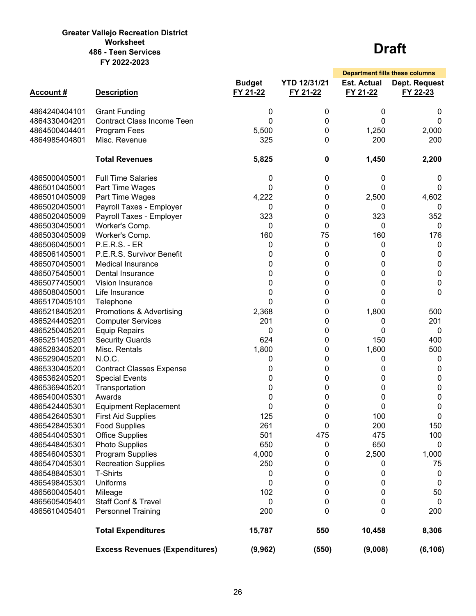#### **Greater Vallejo Recreation District Worksheet 486 - Teen Services FY 2022-2023**

|                  |                                       |                           |                                 | <b>Department fills these columns</b> |                           |
|------------------|---------------------------------------|---------------------------|---------------------------------|---------------------------------------|---------------------------|
| <b>Account #</b> | <b>Description</b>                    | <b>Budget</b><br>FY 21-22 | <b>YTD 12/31/21</b><br>FY 21-22 | <b>Est. Actual</b><br>FY 21-22        | Dept. Request<br>FY 22-23 |
| 4864240404101    | <b>Grant Funding</b>                  | 0                         | 0                               | 0                                     | 0                         |
| 4864330404201    | <b>Contract Class Income Teen</b>     | 0                         | $\pmb{0}$                       | 0                                     | 0                         |
| 4864500404401    | Program Fees                          | 5,500                     | 0                               | 1,250                                 | 2,000                     |
| 4864985404801    | Misc. Revenue                         | 325                       | 0                               | 200                                   | 200                       |
|                  |                                       |                           |                                 |                                       |                           |
|                  | <b>Total Revenues</b>                 | 5,825                     | 0                               | 1,450                                 | 2,200                     |
| 4865000405001    | <b>Full Time Salaries</b>             | 0                         | 0                               | 0                                     | 0                         |
| 4865010405001    | Part Time Wages                       | 0                         | 0                               | 0                                     | 0                         |
| 4865010405009    | Part Time Wages                       | 4,222                     | 0                               | 2,500                                 | 4,602                     |
| 4865020405001    | Payroll Taxes - Employer              | 0                         | 0                               | 0                                     | 0                         |
| 4865020405009    | Payroll Taxes - Employer              | 323                       | 0                               | 323                                   | 352                       |
| 4865030405001    | Worker's Comp.                        | 0                         | 0                               | 0                                     | 0                         |
| 4865030405009    | Worker's Comp.                        | 160                       | 75                              | 160                                   | 176                       |
| 4865060405001    | <b>P.E.R.S. - ER</b>                  | 0                         | 0                               | 0                                     | 0                         |
| 4865061405001    | P.E.R.S. Survivor Benefit             | 0                         | 0                               | 0                                     | 0                         |
| 4865070405001    | <b>Medical Insurance</b>              | 0                         | 0                               | 0                                     | 0                         |
| 4865075405001    | Dental Insurance                      | 0                         | 0                               | 0                                     | 0                         |
| 4865077405001    | Vision Insurance                      | 0                         | 0                               | 0                                     | 0                         |
| 4865080405001    | Life Insurance                        | 0                         | 0                               | 0                                     | 0                         |
| 4865170405101    | Telephone                             | 0                         | 0                               | 0                                     |                           |
| 4865218405201    | Promotions & Advertising              | 2,368                     | 0                               | 1,800                                 | 500                       |
| 4865244405201    | <b>Computer Services</b>              | 201                       | 0                               | 0                                     | 201                       |
| 4865250405201    | <b>Equip Repairs</b>                  | 0                         | 0                               | 0                                     | 0                         |
| 4865251405201    | <b>Security Guards</b>                | 624                       | 0                               | 150                                   | 400                       |
| 4865283405201    | Misc. Rentals                         | 1,800                     | 0                               | 1,600                                 | 500                       |
| 4865290405201    | N.O.C.                                | 0                         | 0                               | 0                                     | 0                         |
| 4865330405201    | <b>Contract Classes Expense</b>       | 0                         | 0                               | 0                                     | 0                         |
| 4865362405201    | <b>Special Events</b>                 | 0                         | 0                               | 0                                     | 0                         |
| 4865369405201    | Transportation                        | 0                         | 0                               | 0                                     | 0                         |
| 4865400405301    | Awards                                | 0                         | 0                               | 0                                     | 0                         |
| 4865424405301    | <b>Equipment Replacement</b>          | 0                         | 0                               | 0                                     | 0                         |
| 4865426405301    | <b>First Aid Supplies</b>             | 125                       | 0                               | 100                                   | 0                         |
| 4865428405301    | <b>Food Supplies</b>                  | 261                       | 0                               | 200                                   | 150                       |
| 4865440405301    | <b>Office Supplies</b>                | 501                       | 475                             | 475                                   | 100                       |
| 4865448405301    | Photo Supplies                        | 650                       | 0                               | 650                                   | 0                         |
| 4865460405301    | Program Supplies                      | 4,000                     | 0                               | 2,500                                 | 1,000                     |
| 4865470405301    | <b>Recreation Supplies</b>            | 250                       | 0                               | 0                                     | 75                        |
| 4865488405301    | T-Shirts                              | 0                         | 0                               | 0                                     | 0                         |
| 4865498405301    | Uniforms                              | 0                         | 0                               | 0                                     | 0                         |
| 4865600405401    | Mileage                               | 102                       | 0                               | 0                                     | 50                        |
| 4865605405401    | <b>Staff Conf &amp; Travel</b>        | 0                         | 0                               | 0                                     | 0                         |
| 4865610405401    | <b>Personnel Training</b>             | 200                       | 0                               | 0                                     | 200                       |
|                  |                                       |                           |                                 |                                       |                           |
|                  | <b>Total Expenditures</b>             | 15,787                    | 550                             | 10,458                                | 8,306                     |
|                  | <b>Excess Revenues (Expenditures)</b> | (9, 962)                  | (550)                           | (9,008)                               | (6, 106)                  |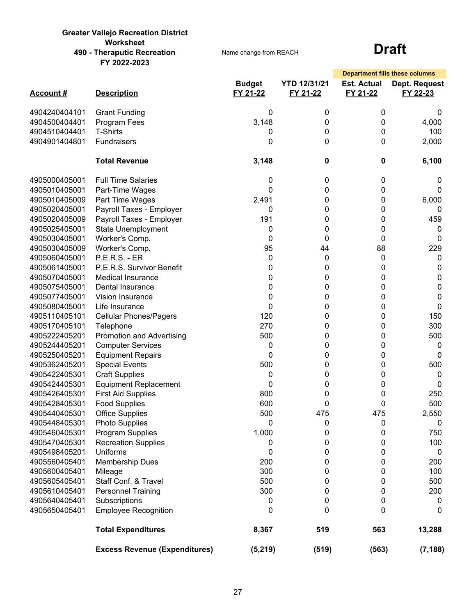#### **Greater Vallejo Recreation District Worksheet 490 - Theraputic Recreation FY 2022-2023**

Name change from REACH

|                 |                                      |                           |                                 | <b>Department fills these columns</b> |                           |
|-----------------|--------------------------------------|---------------------------|---------------------------------|---------------------------------------|---------------------------|
| <b>Account#</b> | <b>Description</b>                   | <b>Budget</b><br>FY 21-22 | <b>YTD 12/31/21</b><br>FY 21-22 | <b>Est. Actual</b><br>FY 21-22        | Dept. Request<br>FY 22-23 |
| 4904240404101   | <b>Grant Funding</b>                 | 0                         | 0                               | 0                                     | 0                         |
| 4904500404401   | Program Fees                         | 3,148                     | 0                               | 0                                     | 4,000                     |
| 4904510404401   | <b>T-Shirts</b>                      | 0                         | 0                               | 0                                     | 100                       |
| 4904901404801   | Fundraisers                          | 0                         | 0                               | 0                                     | 2,000                     |
|                 | <b>Total Revenue</b>                 | 3,148                     | 0                               | 0                                     | 6,100                     |
| 4905000405001   | <b>Full Time Salaries</b>            | 0                         | 0                               | 0                                     | 0                         |
| 4905010405001   | Part-Time Wages                      | 0                         | 0                               | 0                                     | 0                         |
| 4905010405009   | Part Time Wages                      | 2,491                     | 0                               | 0                                     | 6,000                     |
| 4905020405001   | Payroll Taxes - Employer             | 0                         | 0                               | 0                                     | 0                         |
| 4905020405009   | Payroll Taxes - Employer             | 191                       | 0                               | 0                                     | 459                       |
| 4905025405001   | <b>State Unemployment</b>            | 0                         | 0                               | 0                                     | 0                         |
| 4905030405001   | Worker's Comp.                       | 0                         | 0                               | 0                                     | 0                         |
| 4905030405009   | Worker's Comp.                       | 95                        | 44                              | 88                                    | 229                       |
| 4905060405001   | <b>P.E.R.S. - ER</b>                 | 0                         | 0                               | 0                                     | 0                         |
| 4905061405001   | P.E.R.S. Survivor Benefit            | 0                         | 0                               | 0                                     | 0                         |
| 4905070405001   | <b>Medical Insurance</b>             | 0                         | 0                               | 0                                     | 0                         |
| 4905075405001   | Dental Insurance                     | 0                         | 0                               | 0                                     | 0                         |
| 4905077405001   | Vision Insurance                     | 0                         | 0                               | 0                                     | 0                         |
| 4905080405001   | Life Insurance                       | 0                         | 0                               | 0                                     | 0                         |
| 4905110405101   | <b>Cellular Phones/Pagers</b>        | 120                       | 0                               | 0                                     | 150                       |
| 4905170405101   | Telephone                            | 270                       | 0                               | 0                                     | 300                       |
| 4905222405201   | <b>Promotion and Advertising</b>     | 500                       | 0                               | 0                                     | 500                       |
| 4905244405201   | <b>Computer Services</b>             | 0                         | 0                               | 0                                     | 0                         |
| 4905250405201   | <b>Equipment Repairs</b>             | 0                         | 0                               | 0                                     | 0                         |
| 4905362405201   | <b>Special Events</b>                | 500                       | 0                               | 0                                     | 500                       |
| 4905422405301   | <b>Craft Supplies</b>                | 0                         | 0                               | 0                                     | 0                         |
| 4905424405301   | <b>Equipment Replacement</b>         | 0                         | 0                               | 0                                     | 0                         |
| 4905426405301   | <b>First Aid Supplies</b>            | 800                       | 0                               | 0                                     | 250                       |
| 4905428405301   | <b>Food Supplies</b>                 | 600                       | 0                               | 0                                     | 500                       |
| 4905440405301   | <b>Office Supplies</b>               | 500                       | 475                             | 475                                   | 2,550                     |
| 4905448405301   | <b>Photo Supplies</b>                | 0                         | 0                               | 0                                     | $\boldsymbol{0}$          |
| 4905460405301   | Program Supplies                     | 1,000                     | 0                               | 0                                     | 750                       |
| 4905470405301   | <b>Recreation Supplies</b>           | 0                         | 0                               | 0                                     | 100                       |
| 4905498405201   | <b>Uniforms</b>                      | 0                         | 0                               | 0                                     | 0                         |
| 4905560405401   | <b>Membership Dues</b>               | 200                       | 0                               | 0                                     | 200                       |
| 4905600405401   | Mileage                              | 300                       | 0                               | 0                                     | 100                       |
| 4905605405401   | Staff Conf. & Travel                 | 500                       | 0                               | 0                                     | 500                       |
| 4905610405401   | <b>Personnel Training</b>            | 300                       | 0                               | 0                                     | 200                       |
| 4905640405401   | Subscriptions                        | 0                         | 0                               | 0                                     | 0                         |
| 4905650405401   | <b>Employee Recognition</b>          | 0                         | $\mathbf{0}$                    | 0                                     | 0                         |
|                 | <b>Total Expenditures</b>            | 8,367                     | 519                             | 563                                   | 13,288                    |
|                 | <b>Excess Revenue (Expenditures)</b> | (5, 219)                  | (519)                           | (563)                                 | (7, 188)                  |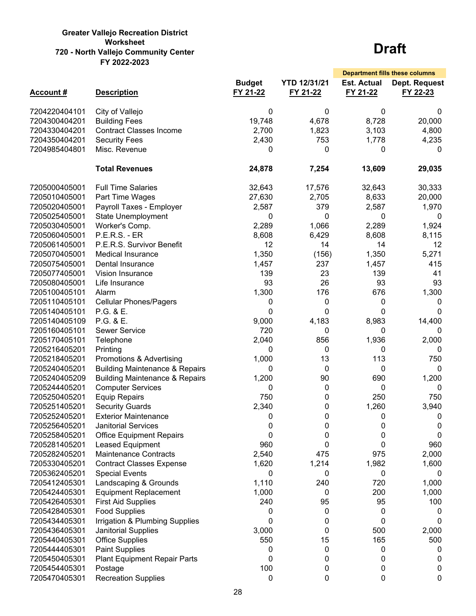#### **Greater Vallejo Recreation District Worksheet 720 - North Vallejo Community Center FY 2022-2023**

|                 |                                           |                           |                                 | <b>Department fills these columns</b> |                           |
|-----------------|-------------------------------------------|---------------------------|---------------------------------|---------------------------------------|---------------------------|
| <b>Account#</b> | <b>Description</b>                        | <b>Budget</b><br>FY 21-22 | <b>YTD 12/31/21</b><br>FY 21-22 | <b>Est. Actual</b><br>FY 21-22        | Dept. Request<br>FY 22-23 |
| 7204220404101   | City of Vallejo                           | 0                         | 0                               | 0                                     | 0                         |
| 7204300404201   | <b>Building Fees</b>                      | 19,748                    | 4,678                           | 8,728                                 | 20,000                    |
| 7204330404201   | <b>Contract Classes Income</b>            | 2,700                     | 1,823                           | 3,103                                 | 4,800                     |
| 7204350404201   | <b>Security Fees</b>                      | 2,430                     | 753                             | 1,778                                 | 4,235                     |
| 7204985404801   | Misc. Revenue                             | 0                         | 0                               | $\Omega$                              | 0                         |
|                 | <b>Total Revenues</b>                     | 24,878                    | 7,254                           | 13,609                                | 29,035                    |
| 7205000405001   | <b>Full Time Salaries</b>                 | 32,643                    | 17,576                          | 32,643                                | 30,333                    |
| 7205010405001   | Part Time Wages                           | 27,630                    | 2,705                           | 8,633                                 | 20,000                    |
| 7205020405001   | Payroll Taxes - Employer                  | 2,587                     | 379                             | 2,587                                 | 1,970                     |
| 7205025405001   | <b>State Unemployment</b>                 | 0                         | 0                               | 0                                     | 0                         |
| 7205030405001   | Worker's Comp.                            | 2,289                     | 1,066                           | 2,289                                 | 1,924                     |
| 7205060405001   | <b>P.E.R.S. - ER</b>                      | 8,608                     | 6,429                           | 8,608                                 | 8,115                     |
| 7205061405001   | P.E.R.S. Survivor Benefit                 | 12                        | 14                              | 14                                    | 12 <sup>2</sup>           |
| 7205070405001   | <b>Medical Insurance</b>                  | 1,350                     | (156)                           | 1,350                                 | 5,271                     |
| 7205075405001   | Dental Insurance                          | 1,457                     | 237                             | 1,457                                 | 415                       |
| 7205077405001   | Vision Insurance                          | 139                       | 23                              | 139                                   | 41                        |
| 7205080405001   | Life Insurance                            | 93                        | 26                              | 93                                    | 93                        |
| 7205100405101   | Alarm                                     | 1,300                     | 176                             | 676                                   | 1,300                     |
| 7205110405101   | <b>Cellular Phones/Pagers</b>             | 0                         | 0                               | 0                                     | 0                         |
| 7205140405101   | P.G. & E.                                 | 0                         | 0                               | 0                                     | 0                         |
| 7205140405109   | P.G. & E.                                 | 9,000                     | 4,183                           | 8,983                                 | 14,400                    |
| 7205160405101   | <b>Sewer Service</b>                      | 720                       | 0                               | 0                                     | 0                         |
| 7205170405101   | Telephone                                 | 2,040                     | 856                             | 1,936                                 | 2,000                     |
| 7205216405201   | Printing                                  | 0                         | 0                               | 0                                     | 0                         |
| 7205218405201   | Promotions & Advertising                  | 1,000                     | 13                              | 113                                   | 750                       |
| 7205240405201   | <b>Building Maintenance &amp; Repairs</b> | 0                         | 0                               | 0                                     | 0                         |
| 7205240405209   | <b>Building Maintenance &amp; Repairs</b> | 1,200                     | 90                              | 690                                   | 1,200                     |
| 7205244405201   | <b>Computer Services</b>                  | 0                         | 0                               | 0                                     | 0                         |
| 7205250405201   | <b>Equip Repairs</b>                      | 750                       | 0                               | 250                                   | 750                       |
| 7205251405201   | <b>Security Guards</b>                    | 2,340                     | 0                               | 1,260                                 | 3,940                     |
| 7205252405201   | <b>Exterior Maintenance</b>               | 0                         | 0                               | 0                                     | 0                         |
| 7205256405201   | <b>Janitorial Services</b>                | 0                         | 0                               | 0                                     | 0                         |
| 7205258405201   | <b>Office Equipment Repairs</b>           | 0                         | 0                               | 0                                     | 0                         |
| 7205281405201   | Leased Equipment                          | 960                       | 0                               | 0                                     | 960                       |
| 7205282405201   | <b>Maintenance Contracts</b>              | 2,540                     | 475                             | 975                                   | 2,000                     |
| 7205330405201   | <b>Contract Classes Expense</b>           | 1,620                     | 1,214                           | 1,982                                 | 1,600                     |
| 7205362405201   | <b>Special Events</b>                     | 0                         | 0                               | 0                                     | 0                         |
| 7205412405301   | Landscaping & Grounds                     | 1,110                     | 240                             | 720                                   | 1,000                     |
| 7205424405301   | <b>Equipment Replacement</b>              | 1,000                     | 0                               | 200                                   | 1,000                     |
| 7205426405301   | <b>First Aid Supplies</b>                 | 240                       | 95                              | 95                                    | 100                       |
| 7205428405301   | <b>Food Supplies</b>                      | 0                         | 0                               | 0                                     | 0                         |
| 7205434405301   | Irrigation & Plumbing Supplies            | 0                         | 0                               | 0                                     | 0                         |
| 7205436405301   | Janitorial Supplies                       | 3,000                     | 0                               | 500                                   | 2,000                     |
| 7205440405301   | <b>Office Supplies</b>                    | 550                       | 15                              | 165                                   | 500                       |
| 7205444405301   | <b>Paint Supplies</b>                     | 0                         | 0                               | 0                                     | 0                         |
| 7205450405301   | <b>Plant Equipment Repair Parts</b>       | 0                         | 0                               | 0                                     | 0                         |
| 7205454405301   | Postage                                   | 100                       | 0                               | 0                                     | 0                         |
| 7205470405301   | <b>Recreation Supplies</b>                | 0                         | 0                               | 0                                     | 0                         |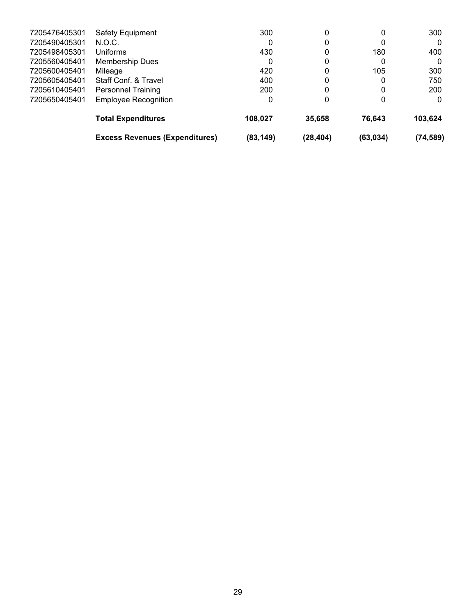|               | <b>Excess Revenues (Expenditures)</b> | (83, 149) | (28, 404) | (63, 034) | (74, 589) |
|---------------|---------------------------------------|-----------|-----------|-----------|-----------|
|               | <b>Total Expenditures</b>             | 108,027   | 35,658    | 76.643    | 103,624   |
| 7205650405401 | <b>Employee Recognition</b>           | 0         | 0         | 0         | 0         |
| 7205610405401 | <b>Personnel Training</b>             | 200       | 0         | 0         | 200       |
| 7205605405401 | Staff Conf. & Travel                  | 400       | 0         | 0         | 750       |
| 7205600405401 | Mileage                               | 420       | 0         | 105       | 300       |
| 7205560405401 | Membership Dues                       | 0         | 0         | 0         | 0         |
| 7205498405301 | Uniforms                              | 430       | 0         | 180       | 400       |
| 7205490405301 | N.O.C.                                |           | 0         | 0         | 0         |
| 7205476405301 | <b>Safety Equipment</b>               | 300       | 0         | 0         | 300       |
|               |                                       |           |           |           |           |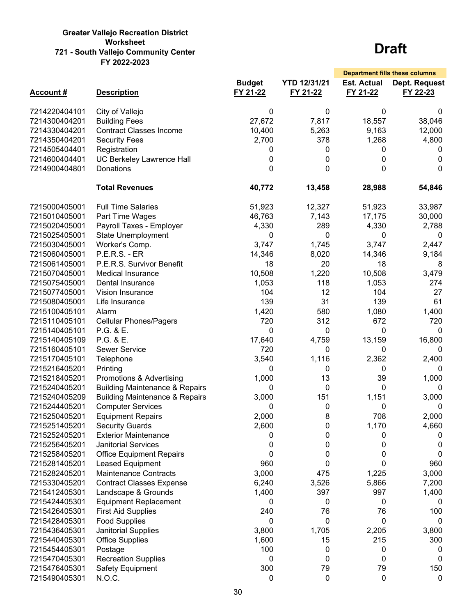#### **Greater Vallejo Recreation District Worksheet 721 - South Vallejo Community Center FY 2022-2023**

|                 |                                           |                           |                                 | <b>Department fills these columns</b> |                                  |
|-----------------|-------------------------------------------|---------------------------|---------------------------------|---------------------------------------|----------------------------------|
| <b>Account#</b> | <b>Description</b>                        | <b>Budget</b><br>FY 21-22 | <b>YTD 12/31/21</b><br>FY 21-22 | <b>Est. Actual</b><br>FY 21-22        | <b>Dept. Request</b><br>FY 22-23 |
| 7214220404101   | City of Vallejo                           | 0                         | 0                               | 0                                     | 0                                |
| 7214300404201   | <b>Building Fees</b>                      | 27,672                    | 7,817                           | 18,557                                | 38,046                           |
| 7214330404201   | <b>Contract Classes Income</b>            | 10,400                    | 5,263                           | 9,163                                 | 12,000                           |
| 7214350404201   | <b>Security Fees</b>                      | 2,700                     | 378                             | 1,268                                 | 4,800                            |
| 7214505404401   | Registration                              | 0                         | 0                               | 0                                     | 0                                |
| 7214600404401   | UC Berkeley Lawrence Hall                 | 0                         | 0                               | 0                                     | 0                                |
| 7214900404801   | <b>Donations</b>                          | 0                         | 0                               | 0                                     | 0                                |
|                 | <b>Total Revenues</b>                     | 40,772                    | 13,458                          | 28,988                                | 54,846                           |
| 7215000405001   | <b>Full Time Salaries</b>                 | 51,923                    | 12,327                          | 51,923                                | 33,987                           |
| 7215010405001   | Part Time Wages                           | 46,763                    | 7,143                           | 17,175                                | 30,000                           |
| 7215020405001   | Payroll Taxes - Employer                  | 4,330                     | 289                             | 4,330                                 | 2,788                            |
| 7215025405001   | State Unemployment                        | 0                         | 0                               | 0                                     | 0                                |
| 7215030405001   | Worker's Comp.                            | 3,747                     | 1,745                           | 3,747                                 | 2,447                            |
| 7215060405001   | <b>P.E.R.S. - ER</b>                      | 14,346                    | 8,020                           | 14,346                                | 9,184                            |
| 7215061405001   | P.E.R.S. Survivor Benefit                 | 18                        | 20                              | 18                                    | 8                                |
| 7215070405001   | <b>Medical Insurance</b>                  | 10,508                    | 1,220                           | 10,508                                | 3,479                            |
| 7215075405001   | Dental Insurance                          | 1,053                     | 118                             | 1,053                                 | 274                              |
| 7215077405001   | <b>Vision Insurance</b>                   | 104                       | 12                              | 104                                   | 27                               |
| 7215080405001   | Life Insurance                            | 139                       | 31                              | 139                                   | 61                               |
| 7215100405101   | Alarm                                     | 1,420                     | 580                             | 1,080                                 | 1,400                            |
| 7215110405101   | <b>Cellular Phones/Pagers</b>             | 720                       | 312                             | 672                                   | 720                              |
| 7215140405101   | P.G. & E.                                 | 0                         | 0                               | 0                                     | 0                                |
| 7215140405109   | P.G. & E.                                 | 17,640                    | 4,759                           | 13,159                                | 16,800                           |
| 7215160405101   | <b>Sewer Service</b>                      | 720                       | 0                               | 0                                     | 0                                |
| 7215170405101   | Telephone                                 | 3,540                     | 1,116                           | 2,362                                 | 2,400                            |
| 7215216405201   | Printing                                  | 0                         | 0                               | 0                                     | 0                                |
| 7215218405201   | Promotions & Advertising                  | 1,000                     | 13                              | 39                                    | 1,000                            |
| 7215240405201   | <b>Building Maintenance &amp; Repairs</b> | 0                         | 0                               | 0                                     | 0                                |
| 7215240405209   | <b>Building Maintenance &amp; Repairs</b> | 3,000                     | 151                             | 1,151                                 | 3,000                            |
| 7215244405201   | <b>Computer Services</b>                  | 0                         | 0                               | 0                                     | 0                                |
| 7215250405201   | <b>Equipment Repairs</b>                  | 2,000                     | 8                               | 708                                   | 2,000                            |
| 7215251405201   | <b>Security Guards</b>                    | 2,600                     | 0                               | 1,170                                 | 4,660                            |
| 7215252405201   | <b>Exterior Maintenance</b>               | 0                         | 0                               | 0                                     | 0                                |
| 7215256405201   | <b>Janitorial Services</b>                | 0                         | 0                               | 0                                     | 0                                |
| 7215258405201   | <b>Office Equipment Repairs</b>           | 0                         | 0                               | 0                                     | 0                                |
| 7215281405201   | Leased Equipment                          | 960                       | 0                               | 0                                     | 960                              |
| 7215282405201   | <b>Maintenance Contracts</b>              | 3,000                     | 475                             | 1,225                                 | 3,000                            |
| 7215330405201   | <b>Contract Classes Expense</b>           | 6,240                     | 3,526                           | 5,866                                 | 7,200                            |
| 7215412405301   | Landscape & Grounds                       | 1,400                     | 397                             | 997                                   | 1,400                            |
| 7215424405301   | <b>Equipment Replacement</b>              | 0                         | 0                               | 0                                     | 0                                |
| 7215426405301   | <b>First Aid Supplies</b>                 | 240                       | 76                              | 76                                    | 100                              |
| 7215428405301   | <b>Food Supplies</b>                      | 0                         | 0                               | 0                                     | 0                                |
| 7215436405301   | <b>Janitorial Supplies</b>                | 3,800                     | 1,705                           | 2,205                                 | 3,800                            |
| 7215440405301   | <b>Office Supplies</b>                    | 1,600                     | 15                              | 215                                   | 300                              |
| 7215454405301   | Postage                                   | 100                       | 0                               | 0                                     | 0                                |
| 7215470405301   | <b>Recreation Supplies</b>                | 0                         | 0                               | 0                                     | 0                                |
| 7215476405301   | <b>Safety Equipment</b>                   | 300                       | 79                              | 79                                    | 150                              |
| 7215490405301   | N.O.C.                                    | 0                         | 0                               | 0                                     | $\mathbf 0$                      |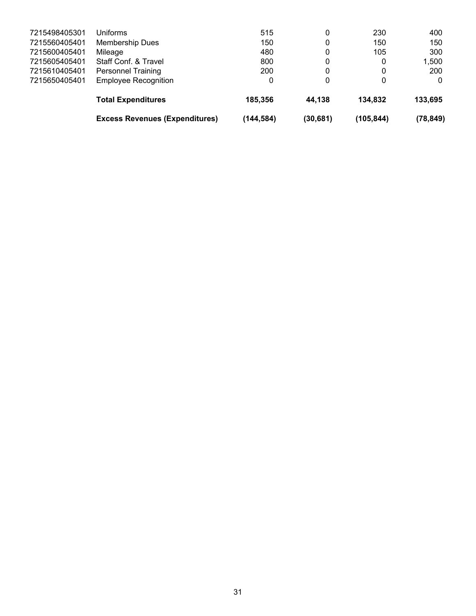|               | <b>Excess Revenues (Expenditures)</b> | (144, 584) | (30, 681) | (105, 844)   | (78, 849) |
|---------------|---------------------------------------|------------|-----------|--------------|-----------|
|               | <b>Total Expenditures</b>             | 185,356    | 44,138    | 134.832      | 133,695   |
| 7215650405401 | <b>Employee Recognition</b>           | 0          | 0         | $\mathbf{0}$ | 0         |
| 7215610405401 | <b>Personnel Training</b>             | 200        | 0         | 0            | 200       |
| 7215605405401 | Staff Conf. & Travel                  | 800        | 0         | 0            | 1,500     |
| 7215600405401 | Mileage                               | 480        | 0         | 105          | 300       |
| 7215560405401 | <b>Membership Dues</b>                | 150        | 0         | 150          | 150       |
| 7215498405301 | Uniforms                              | 515        | 0         | 230          | 400       |
|               |                                       |            |           |              |           |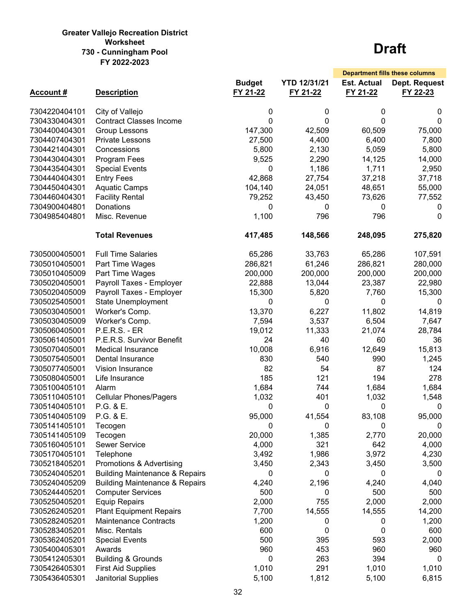#### **Greater Vallejo Recreation District 730 - Cunningham Pool Worksheet FY 2022-2023**

|                 |                                           |               |                     | <b>Department fills these columns</b> |               |
|-----------------|-------------------------------------------|---------------|---------------------|---------------------------------------|---------------|
|                 |                                           | <b>Budget</b> | <b>YTD 12/31/21</b> | <b>Est. Actual</b>                    | Dept. Request |
| <b>Account#</b> | <b>Description</b>                        | FY 21-22      | FY 21-22            | FY 21-22                              | FY 22-23      |
|                 |                                           |               |                     |                                       |               |
| 7304220404101   | City of Vallejo                           | 0             | 0                   | 0                                     | 0             |
| 7304330404301   | <b>Contract Classes Income</b>            | 0             | $\Omega$            | $\Omega$                              | 0             |
| 7304400404301   | Group Lessons                             | 147,300       | 42,509              | 60,509                                | 75,000        |
| 7304407404301   | <b>Private Lessons</b>                    | 27,500        | 4,400               | 6,400                                 | 7,800         |
| 7304421404301   | Concessions                               | 5,800         | 2,130               | 5,059                                 | 5,800         |
| 7304430404301   | Program Fees                              | 9,525         | 2,290               | 14,125                                | 14,000        |
| 7304435404301   | <b>Special Events</b>                     | 0             | 1,186               | 1,711                                 | 2,950         |
| 7304440404301   | <b>Entry Fees</b>                         | 42,868        | 27,754              | 37,218                                | 37,718        |
| 7304450404301   | <b>Aquatic Camps</b>                      | 104,140       | 24,051              | 48,651                                | 55,000        |
| 7304460404301   | <b>Facility Rental</b>                    | 79,252        | 43,450              | 73,626                                | 77,552        |
| 7304900404801   | Donations                                 | 0             | 0                   | 0                                     | 0             |
| 7304985404801   | Misc. Revenue                             | 1,100         | 796                 | 796                                   | 0             |
|                 | <b>Total Revenues</b>                     | 417,485       | 148,566             | 248,095                               | 275,820       |
| 7305000405001   | <b>Full Time Salaries</b>                 | 65,286        | 33,763              | 65,286                                | 107,591       |
| 7305010405001   | Part Time Wages                           | 286,821       | 61,246              | 286,821                               | 280,000       |
| 7305010405009   | Part Time Wages                           | 200,000       | 200,000             | 200,000                               | 200,000       |
| 7305020405001   | Payroll Taxes - Employer                  | 22,888        | 13,044              | 23,387                                | 22,980        |
| 7305020405009   | Payroll Taxes - Employer                  | 15,300        | 5,820               | 7,760                                 | 15,300        |
| 7305025405001   | <b>State Unemployment</b>                 | 0             | 0                   | 0                                     | 0             |
| 7305030405001   | Worker's Comp.                            | 13,370        | 6,227               | 11,802                                | 14,819        |
| 7305030405009   | Worker's Comp.                            | 7,594         | 3,537               | 6,504                                 | 7,647         |
| 7305060405001   | <b>P.E.R.S. - ER</b>                      | 19,012        | 11,333              | 21,074                                | 28,784        |
| 7305061405001   | P.E.R.S. Survivor Benefit                 | 24            | 40                  | 60                                    | 36            |
| 7305070405001   | <b>Medical Insurance</b>                  | 10,008        | 6,916               | 12,649                                | 15,813        |
| 7305075405001   | Dental Insurance                          | 830           | 540                 | 990                                   | 1,245         |
| 7305077405001   | Vision Insurance                          | 82            | 54                  | 87                                    | 124           |
| 7305080405001   | Life Insurance                            | 185           | 121                 | 194                                   | 278           |
| 7305100405101   | Alarm                                     | 1,684         | 744                 | 1,684                                 | 1,684         |
| 7305110405101   | <b>Cellular Phones/Pagers</b>             | 1,032         | 401                 | 1,032                                 | 1,548         |
| 7305140405101   | P.G. & E.                                 | 0             | 0                   | 0                                     | 0             |
| 7305140405109   | P.G. & E.                                 | 95,000        | 41,554              | 83,108                                | 95,000        |
| 7305141405101   | Tecogen                                   | 0             | 0                   | 0                                     | 0             |
| 7305141405109   | Tecogen                                   | 20,000        | 1,385               | 2,770                                 | 20,000        |
| 7305160405101   | <b>Sewer Service</b>                      | 4,000         | 321                 | 642                                   | 4,000         |
| 7305170405101   | Telephone                                 | 3,492         | 1,986               | 3,972                                 | 4,230         |
| 7305218405201   | Promotions & Advertising                  | 3,450         | 2,343               | 3,450                                 | 3,500         |
| 7305240405201   | <b>Building Maintenance &amp; Repairs</b> | 0             | 0                   | 0                                     | 0             |
| 7305240405209   | <b>Building Maintenance &amp; Repairs</b> | 4,240         | 2,196               | 4,240                                 | 4,040         |
| 7305244405201   | <b>Computer Services</b>                  | 500           | 0                   | 500                                   | 500           |
| 7305250405201   | <b>Equip Repairs</b>                      | 2,000         | 755                 | 2,000                                 | 2,000         |
| 7305262405201   | <b>Plant Equipment Repairs</b>            | 7,700         | 14,555              | 14,555                                | 14,200        |
| 7305282405201   | <b>Maintenance Contracts</b>              | 1,200         | 0                   | 0                                     | 1,200         |
| 7305283405201   | Misc. Rentals                             | 600           | 0                   | 0                                     | 600           |
| 7305362405201   | <b>Special Events</b>                     | 500           | 395                 | 593                                   | 2,000         |
| 7305400405301   | Awards                                    | 960           | 453                 | 960                                   | 960           |
| 7305412405301   | <b>Building &amp; Grounds</b>             | 0             | 263                 | 394                                   | 0             |
| 7305426405301   | <b>First Aid Supplies</b>                 | 1,010         | 291                 | 1,010                                 | 1,010         |
| 7305436405301   | Janitorial Supplies                       | 5,100         | 1,812               | 5,100                                 | 6,815         |